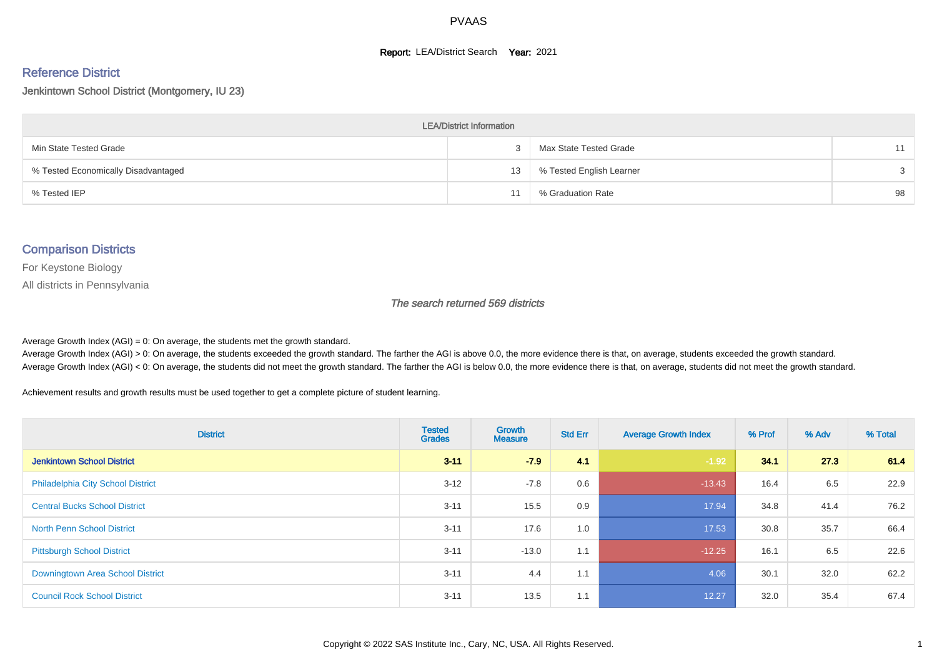#### **Report: LEA/District Search Year: 2021**

#### Reference District

#### Jenkintown School District (Montgomery, IU 23)

| <b>LEA/District Information</b>     |    |                          |    |  |  |  |  |  |  |  |
|-------------------------------------|----|--------------------------|----|--|--|--|--|--|--|--|
| Min State Tested Grade              |    | Max State Tested Grade   |    |  |  |  |  |  |  |  |
| % Tested Economically Disadvantaged | 13 | % Tested English Learner |    |  |  |  |  |  |  |  |
| % Tested IEP                        |    | % Graduation Rate        | 98 |  |  |  |  |  |  |  |

#### Comparison Districts

For Keystone Biology

All districts in Pennsylvania

The search returned 569 districts

Average Growth Index  $(AGI) = 0$ : On average, the students met the growth standard.

Average Growth Index (AGI) > 0: On average, the students exceeded the growth standard. The farther the AGI is above 0.0, the more evidence there is that, on average, students exceeded the growth standard. Average Growth Index (AGI) < 0: On average, the students did not meet the growth standard. The farther the AGI is below 0.0, the more evidence there is that, on average, students did not meet the growth standard.

Achievement results and growth results must be used together to get a complete picture of student learning.

| <b>District</b>                          | <b>Tested</b><br><b>Grades</b> | Growth<br><b>Measure</b> | <b>Std Err</b> | <b>Average Growth Index</b> | % Prof | % Adv | % Total |
|------------------------------------------|--------------------------------|--------------------------|----------------|-----------------------------|--------|-------|---------|
| <b>Jenkintown School District</b>        | $3 - 11$                       | $-7.9$                   | 4.1            | $-1.92$                     | 34.1   | 27.3  | 61.4    |
| <b>Philadelphia City School District</b> | $3 - 12$                       | $-7.8$                   | 0.6            | $-13.43$                    | 16.4   | 6.5   | 22.9    |
| <b>Central Bucks School District</b>     | $3 - 11$                       | 15.5                     | 0.9            | 17.94                       | 34.8   | 41.4  | 76.2    |
| <b>North Penn School District</b>        | $3 - 11$                       | 17.6                     | 1.0            | 17.53                       | 30.8   | 35.7  | 66.4    |
| <b>Pittsburgh School District</b>        | $3 - 11$                       | $-13.0$                  | 1.1            | $-12.25$                    | 16.1   | 6.5   | 22.6    |
| Downingtown Area School District         | $3 - 11$                       | 4.4                      | 1.1            | 4.06                        | 30.1   | 32.0  | 62.2    |
| <b>Council Rock School District</b>      | $3 - 11$                       | 13.5                     | 1.1            | 12.27                       | 32.0   | 35.4  | 67.4    |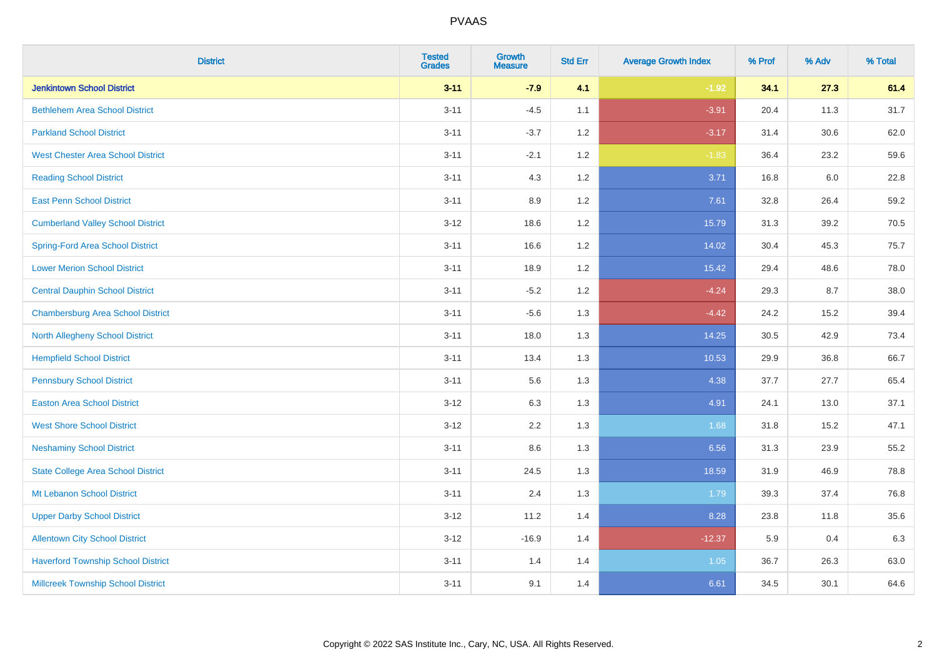| <b>District</b>                           | <b>Tested</b><br><b>Grades</b> | <b>Growth</b><br><b>Measure</b> | <b>Std Err</b> | <b>Average Growth Index</b> | % Prof | % Adv | % Total |
|-------------------------------------------|--------------------------------|---------------------------------|----------------|-----------------------------|--------|-------|---------|
| <b>Jenkintown School District</b>         | $3 - 11$                       | $-7.9$                          | 4.1            | $-1.92$                     | 34.1   | 27.3  | 61.4    |
| <b>Bethlehem Area School District</b>     | $3 - 11$                       | $-4.5$                          | 1.1            | $-3.91$                     | 20.4   | 11.3  | 31.7    |
| <b>Parkland School District</b>           | $3 - 11$                       | $-3.7$                          | 1.2            | $-3.17$                     | 31.4   | 30.6  | 62.0    |
| <b>West Chester Area School District</b>  | $3 - 11$                       | $-2.1$                          | 1.2            | $-1.83$                     | 36.4   | 23.2  | 59.6    |
| <b>Reading School District</b>            | $3 - 11$                       | 4.3                             | 1.2            | 3.71                        | 16.8   | 6.0   | 22.8    |
| <b>East Penn School District</b>          | $3 - 11$                       | 8.9                             | 1.2            | 7.61                        | 32.8   | 26.4  | 59.2    |
| <b>Cumberland Valley School District</b>  | $3 - 12$                       | 18.6                            | 1.2            | 15.79                       | 31.3   | 39.2  | 70.5    |
| <b>Spring-Ford Area School District</b>   | $3 - 11$                       | 16.6                            | 1.2            | 14.02                       | 30.4   | 45.3  | 75.7    |
| <b>Lower Merion School District</b>       | $3 - 11$                       | 18.9                            | 1.2            | 15.42                       | 29.4   | 48.6  | 78.0    |
| <b>Central Dauphin School District</b>    | $3 - 11$                       | $-5.2$                          | 1.2            | $-4.24$                     | 29.3   | 8.7   | 38.0    |
| <b>Chambersburg Area School District</b>  | $3 - 11$                       | $-5.6$                          | 1.3            | $-4.42$                     | 24.2   | 15.2  | 39.4    |
| North Allegheny School District           | $3 - 11$                       | 18.0                            | 1.3            | 14.25                       | 30.5   | 42.9  | 73.4    |
| <b>Hempfield School District</b>          | $3 - 11$                       | 13.4                            | 1.3            | 10.53                       | 29.9   | 36.8  | 66.7    |
| <b>Pennsbury School District</b>          | $3 - 11$                       | 5.6                             | 1.3            | 4.38                        | 37.7   | 27.7  | 65.4    |
| <b>Easton Area School District</b>        | $3 - 12$                       | 6.3                             | 1.3            | 4.91                        | 24.1   | 13.0  | 37.1    |
| <b>West Shore School District</b>         | $3 - 12$                       | 2.2                             | 1.3            | 1.68                        | 31.8   | 15.2  | 47.1    |
| <b>Neshaminy School District</b>          | $3 - 11$                       | 8.6                             | 1.3            | 6.56                        | 31.3   | 23.9  | 55.2    |
| <b>State College Area School District</b> | $3 - 11$                       | 24.5                            | 1.3            | 18.59                       | 31.9   | 46.9  | 78.8    |
| Mt Lebanon School District                | $3 - 11$                       | 2.4                             | 1.3            | 1.79                        | 39.3   | 37.4  | 76.8    |
| <b>Upper Darby School District</b>        | $3 - 12$                       | 11.2                            | 1.4            | 8.28                        | 23.8   | 11.8  | 35.6    |
| <b>Allentown City School District</b>     | $3 - 12$                       | $-16.9$                         | 1.4            | $-12.37$                    | 5.9    | 0.4   | 6.3     |
| <b>Haverford Township School District</b> | $3 - 11$                       | 1.4                             | 1.4            | 1.05                        | 36.7   | 26.3  | 63.0    |
| <b>Millcreek Township School District</b> | $3 - 11$                       | 9.1                             | 1.4            | 6.61                        | 34.5   | 30.1  | 64.6    |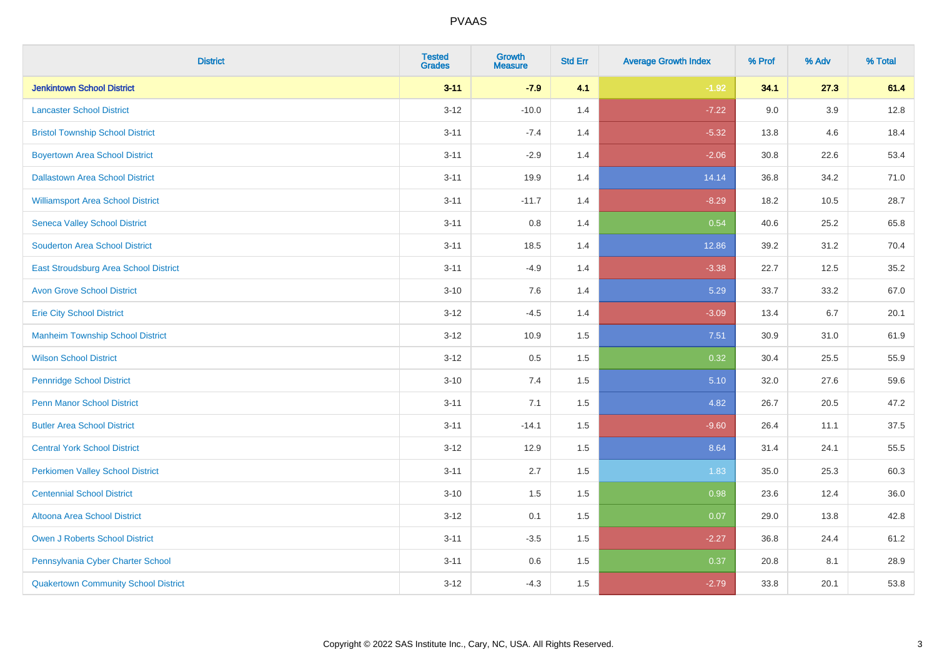| <b>District</b>                             | <b>Tested</b><br><b>Grades</b> | <b>Growth</b><br><b>Measure</b> | <b>Std Err</b> | <b>Average Growth Index</b> | % Prof | % Adv   | % Total |
|---------------------------------------------|--------------------------------|---------------------------------|----------------|-----------------------------|--------|---------|---------|
| <b>Jenkintown School District</b>           | $3 - 11$                       | $-7.9$                          | 4.1            | $-1.92$                     | 34.1   | 27.3    | 61.4    |
| <b>Lancaster School District</b>            | $3 - 12$                       | $-10.0$                         | 1.4            | $-7.22$                     | 9.0    | $3.9\,$ | 12.8    |
| <b>Bristol Township School District</b>     | $3 - 11$                       | $-7.4$                          | 1.4            | $-5.32$                     | 13.8   | 4.6     | 18.4    |
| <b>Boyertown Area School District</b>       | $3 - 11$                       | $-2.9$                          | 1.4            | $-2.06$                     | 30.8   | 22.6    | 53.4    |
| <b>Dallastown Area School District</b>      | $3 - 11$                       | 19.9                            | 1.4            | 14.14                       | 36.8   | 34.2    | 71.0    |
| <b>Williamsport Area School District</b>    | $3 - 11$                       | $-11.7$                         | 1.4            | $-8.29$                     | 18.2   | 10.5    | 28.7    |
| <b>Seneca Valley School District</b>        | $3 - 11$                       | 0.8                             | 1.4            | 0.54                        | 40.6   | 25.2    | 65.8    |
| <b>Souderton Area School District</b>       | $3 - 11$                       | 18.5                            | 1.4            | 12.86                       | 39.2   | 31.2    | 70.4    |
| East Stroudsburg Area School District       | $3 - 11$                       | $-4.9$                          | 1.4            | $-3.38$                     | 22.7   | 12.5    | 35.2    |
| <b>Avon Grove School District</b>           | $3 - 10$                       | 7.6                             | 1.4            | 5.29                        | 33.7   | 33.2    | 67.0    |
| <b>Erie City School District</b>            | $3 - 12$                       | $-4.5$                          | 1.4            | $-3.09$                     | 13.4   | 6.7     | 20.1    |
| <b>Manheim Township School District</b>     | $3 - 12$                       | 10.9                            | 1.5            | 7.51                        | 30.9   | 31.0    | 61.9    |
| <b>Wilson School District</b>               | $3 - 12$                       | 0.5                             | 1.5            | 0.32                        | 30.4   | 25.5    | 55.9    |
| <b>Pennridge School District</b>            | $3 - 10$                       | 7.4                             | 1.5            | 5.10                        | 32.0   | 27.6    | 59.6    |
| <b>Penn Manor School District</b>           | $3 - 11$                       | 7.1                             | 1.5            | 4.82                        | 26.7   | 20.5    | 47.2    |
| <b>Butler Area School District</b>          | $3 - 11$                       | $-14.1$                         | 1.5            | $-9.60$                     | 26.4   | 11.1    | 37.5    |
| <b>Central York School District</b>         | $3 - 12$                       | 12.9                            | 1.5            | 8.64                        | 31.4   | 24.1    | 55.5    |
| <b>Perkiomen Valley School District</b>     | $3 - 11$                       | 2.7                             | 1.5            | 1.83                        | 35.0   | 25.3    | 60.3    |
| <b>Centennial School District</b>           | $3 - 10$                       | 1.5                             | 1.5            | 0.98                        | 23.6   | 12.4    | 36.0    |
| Altoona Area School District                | $3 - 12$                       | 0.1                             | 1.5            | 0.07                        | 29.0   | 13.8    | 42.8    |
| Owen J Roberts School District              | $3 - 11$                       | $-3.5$                          | 1.5            | $-2.27$                     | 36.8   | 24.4    | 61.2    |
| Pennsylvania Cyber Charter School           | $3 - 11$                       | 0.6                             | 1.5            | 0.37                        | 20.8   | 8.1     | 28.9    |
| <b>Quakertown Community School District</b> | $3 - 12$                       | $-4.3$                          | 1.5            | $-2.79$                     | 33.8   | 20.1    | 53.8    |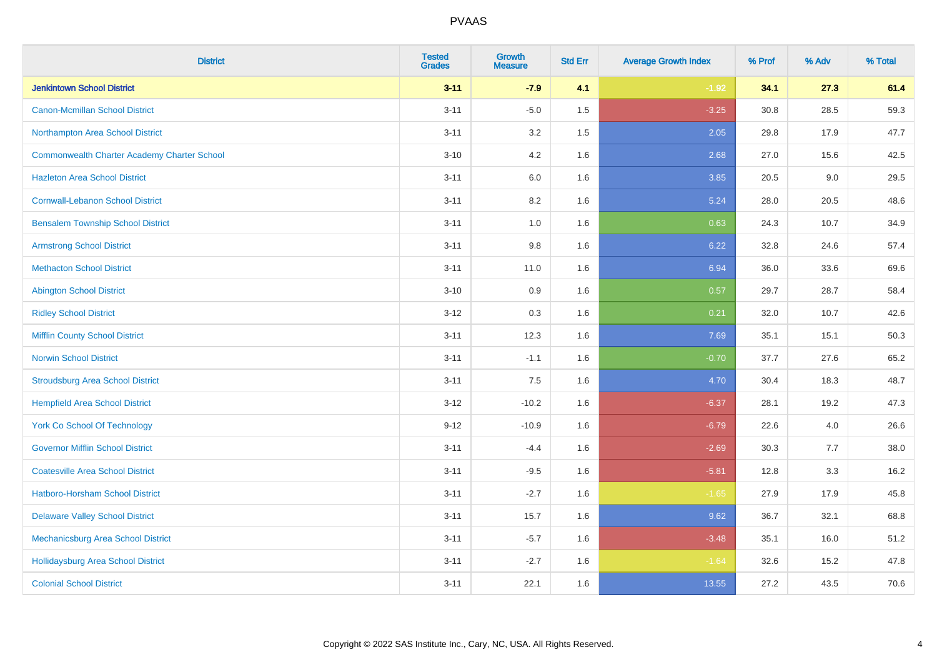| <b>District</b>                                    | <b>Tested</b><br><b>Grades</b> | Growth<br><b>Measure</b> | <b>Std Err</b> | <b>Average Growth Index</b> | % Prof | % Adv | % Total |
|----------------------------------------------------|--------------------------------|--------------------------|----------------|-----------------------------|--------|-------|---------|
| <b>Jenkintown School District</b>                  | $3 - 11$                       | $-7.9$                   | 4.1            | $-1.92$                     | 34.1   | 27.3  | 61.4    |
| <b>Canon-Mcmillan School District</b>              | $3 - 11$                       | $-5.0$                   | 1.5            | $-3.25$                     | 30.8   | 28.5  | 59.3    |
| Northampton Area School District                   | $3 - 11$                       | 3.2                      | 1.5            | 2.05                        | 29.8   | 17.9  | 47.7    |
| <b>Commonwealth Charter Academy Charter School</b> | $3 - 10$                       | 4.2                      | 1.6            | 2.68                        | 27.0   | 15.6  | 42.5    |
| <b>Hazleton Area School District</b>               | $3 - 11$                       | 6.0                      | 1.6            | 3.85                        | 20.5   | 9.0   | 29.5    |
| <b>Cornwall-Lebanon School District</b>            | $3 - 11$                       | 8.2                      | 1.6            | 5.24                        | 28.0   | 20.5  | 48.6    |
| <b>Bensalem Township School District</b>           | $3 - 11$                       | 1.0                      | 1.6            | 0.63                        | 24.3   | 10.7  | 34.9    |
| <b>Armstrong School District</b>                   | $3 - 11$                       | $9.8\,$                  | 1.6            | 6.22                        | 32.8   | 24.6  | 57.4    |
| <b>Methacton School District</b>                   | $3 - 11$                       | 11.0                     | 1.6            | 6.94                        | 36.0   | 33.6  | 69.6    |
| <b>Abington School District</b>                    | $3 - 10$                       | 0.9                      | 1.6            | 0.57                        | 29.7   | 28.7  | 58.4    |
| <b>Ridley School District</b>                      | $3 - 12$                       | 0.3                      | 1.6            | 0.21                        | 32.0   | 10.7  | 42.6    |
| <b>Mifflin County School District</b>              | $3 - 11$                       | 12.3                     | 1.6            | 7.69                        | 35.1   | 15.1  | 50.3    |
| <b>Norwin School District</b>                      | $3 - 11$                       | $-1.1$                   | 1.6            | $-0.70$                     | 37.7   | 27.6  | 65.2    |
| <b>Stroudsburg Area School District</b>            | $3 - 11$                       | 7.5                      | 1.6            | 4.70                        | 30.4   | 18.3  | 48.7    |
| <b>Hempfield Area School District</b>              | $3 - 12$                       | $-10.2$                  | 1.6            | $-6.37$                     | 28.1   | 19.2  | 47.3    |
| <b>York Co School Of Technology</b>                | $9 - 12$                       | $-10.9$                  | 1.6            | $-6.79$                     | 22.6   | 4.0   | 26.6    |
| <b>Governor Mifflin School District</b>            | $3 - 11$                       | $-4.4$                   | 1.6            | $-2.69$                     | 30.3   | 7.7   | 38.0    |
| <b>Coatesville Area School District</b>            | $3 - 11$                       | $-9.5$                   | 1.6            | $-5.81$                     | 12.8   | 3.3   | 16.2    |
| <b>Hatboro-Horsham School District</b>             | $3 - 11$                       | $-2.7$                   | 1.6            | $-1.65$                     | 27.9   | 17.9  | 45.8    |
| <b>Delaware Valley School District</b>             | $3 - 11$                       | 15.7                     | 1.6            | 9.62                        | 36.7   | 32.1  | 68.8    |
| Mechanicsburg Area School District                 | $3 - 11$                       | $-5.7$                   | 1.6            | $-3.48$                     | 35.1   | 16.0  | 51.2    |
| <b>Hollidaysburg Area School District</b>          | $3 - 11$                       | $-2.7$                   | 1.6            | $-1.64$                     | 32.6   | 15.2  | 47.8    |
| <b>Colonial School District</b>                    | $3 - 11$                       | 22.1                     | 1.6            | 13.55                       | 27.2   | 43.5  | 70.6    |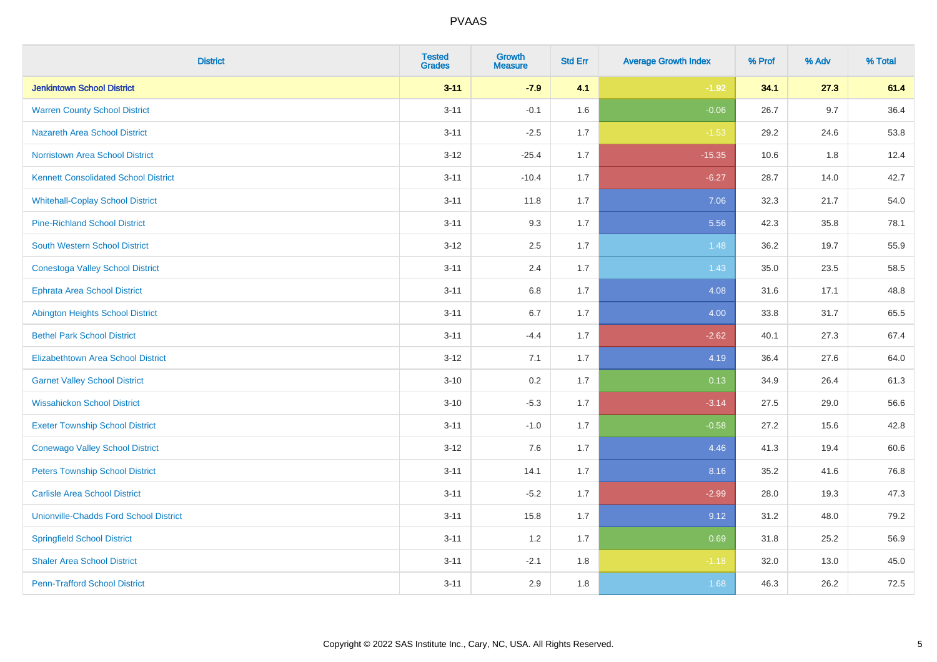| <b>District</b>                               | <b>Tested</b><br><b>Grades</b> | Growth<br><b>Measure</b> | <b>Std Err</b> | <b>Average Growth Index</b> | % Prof | % Adv   | % Total |
|-----------------------------------------------|--------------------------------|--------------------------|----------------|-----------------------------|--------|---------|---------|
| <b>Jenkintown School District</b>             | $3 - 11$                       | $-7.9$                   | 4.1            | $-1.92$                     | 34.1   | 27.3    | 61.4    |
| <b>Warren County School District</b>          | $3 - 11$                       | $-0.1$                   | 1.6            | $-0.06$                     | 26.7   | 9.7     | 36.4    |
| <b>Nazareth Area School District</b>          | $3 - 11$                       | $-2.5$                   | 1.7            | $-1.53$                     | 29.2   | 24.6    | 53.8    |
| Norristown Area School District               | $3 - 12$                       | $-25.4$                  | 1.7            | $-15.35$                    | 10.6   | $1.8\,$ | 12.4    |
| <b>Kennett Consolidated School District</b>   | $3 - 11$                       | $-10.4$                  | 1.7            | $-6.27$                     | 28.7   | 14.0    | 42.7    |
| <b>Whitehall-Coplay School District</b>       | $3 - 11$                       | 11.8                     | 1.7            | 7.06                        | 32.3   | 21.7    | 54.0    |
| <b>Pine-Richland School District</b>          | $3 - 11$                       | 9.3                      | 1.7            | 5.56                        | 42.3   | 35.8    | 78.1    |
| <b>South Western School District</b>          | $3 - 12$                       | 2.5                      | 1.7            | 1.48                        | 36.2   | 19.7    | 55.9    |
| <b>Conestoga Valley School District</b>       | $3 - 11$                       | 2.4                      | 1.7            | 1.43                        | 35.0   | 23.5    | 58.5    |
| <b>Ephrata Area School District</b>           | $3 - 11$                       | $6.8\,$                  | 1.7            | 4.08                        | 31.6   | 17.1    | 48.8    |
| <b>Abington Heights School District</b>       | $3 - 11$                       | 6.7                      | 1.7            | 4.00                        | 33.8   | 31.7    | 65.5    |
| <b>Bethel Park School District</b>            | $3 - 11$                       | $-4.4$                   | 1.7            | $-2.62$                     | 40.1   | 27.3    | 67.4    |
| Elizabethtown Area School District            | $3 - 12$                       | 7.1                      | 1.7            | 4.19                        | 36.4   | 27.6    | 64.0    |
| <b>Garnet Valley School District</b>          | $3 - 10$                       | 0.2                      | 1.7            | 0.13                        | 34.9   | 26.4    | 61.3    |
| <b>Wissahickon School District</b>            | $3 - 10$                       | $-5.3$                   | 1.7            | $-3.14$                     | 27.5   | 29.0    | 56.6    |
| <b>Exeter Township School District</b>        | $3 - 11$                       | $-1.0$                   | 1.7            | $-0.58$                     | 27.2   | 15.6    | 42.8    |
| <b>Conewago Valley School District</b>        | $3 - 12$                       | 7.6                      | 1.7            | 4.46                        | 41.3   | 19.4    | 60.6    |
| <b>Peters Township School District</b>        | $3 - 11$                       | 14.1                     | 1.7            | 8.16                        | 35.2   | 41.6    | 76.8    |
| <b>Carlisle Area School District</b>          | $3 - 11$                       | $-5.2$                   | 1.7            | $-2.99$                     | 28.0   | 19.3    | 47.3    |
| <b>Unionville-Chadds Ford School District</b> | $3 - 11$                       | 15.8                     | 1.7            | 9.12                        | 31.2   | 48.0    | 79.2    |
| <b>Springfield School District</b>            | $3 - 11$                       | 1.2                      | 1.7            | 0.69                        | 31.8   | 25.2    | 56.9    |
| <b>Shaler Area School District</b>            | $3 - 11$                       | $-2.1$                   | 1.8            | $-1.18$                     | 32.0   | 13.0    | 45.0    |
| <b>Penn-Trafford School District</b>          | $3 - 11$                       | 2.9                      | 1.8            | 1.68                        | 46.3   | 26.2    | 72.5    |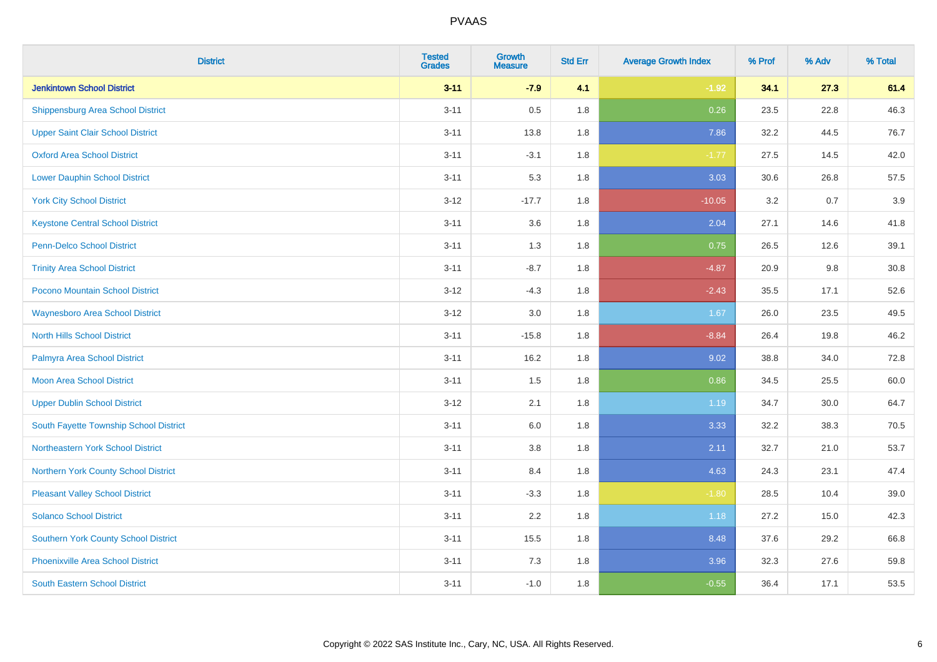| <b>District</b>                             | <b>Tested</b><br><b>Grades</b> | Growth<br><b>Measure</b> | <b>Std Err</b> | <b>Average Growth Index</b> | % Prof | % Adv | % Total |
|---------------------------------------------|--------------------------------|--------------------------|----------------|-----------------------------|--------|-------|---------|
| <b>Jenkintown School District</b>           | $3 - 11$                       | $-7.9$                   | 4.1            | $-1.92$                     | 34.1   | 27.3  | 61.4    |
| <b>Shippensburg Area School District</b>    | $3 - 11$                       | 0.5                      | 1.8            | 0.26                        | 23.5   | 22.8  | 46.3    |
| <b>Upper Saint Clair School District</b>    | $3 - 11$                       | 13.8                     | 1.8            | 7.86                        | 32.2   | 44.5  | 76.7    |
| <b>Oxford Area School District</b>          | $3 - 11$                       | $-3.1$                   | 1.8            | $-1.77$                     | 27.5   | 14.5  | 42.0    |
| <b>Lower Dauphin School District</b>        | $3 - 11$                       | 5.3                      | 1.8            | 3.03                        | 30.6   | 26.8  | 57.5    |
| <b>York City School District</b>            | $3 - 12$                       | $-17.7$                  | 1.8            | $-10.05$                    | 3.2    | 0.7   | 3.9     |
| <b>Keystone Central School District</b>     | $3 - 11$                       | 3.6                      | 1.8            | 2.04                        | 27.1   | 14.6  | 41.8    |
| <b>Penn-Delco School District</b>           | $3 - 11$                       | 1.3                      | 1.8            | 0.75                        | 26.5   | 12.6  | 39.1    |
| <b>Trinity Area School District</b>         | $3 - 11$                       | $-8.7$                   | 1.8            | $-4.87$                     | 20.9   | 9.8   | 30.8    |
| <b>Pocono Mountain School District</b>      | $3 - 12$                       | $-4.3$                   | 1.8            | $-2.43$                     | 35.5   | 17.1  | 52.6    |
| <b>Waynesboro Area School District</b>      | $3 - 12$                       | 3.0                      | 1.8            | 1.67                        | 26.0   | 23.5  | 49.5    |
| <b>North Hills School District</b>          | $3 - 11$                       | $-15.8$                  | 1.8            | $-8.84$                     | 26.4   | 19.8  | 46.2    |
| Palmyra Area School District                | $3 - 11$                       | 16.2                     | 1.8            | 9.02                        | 38.8   | 34.0  | 72.8    |
| Moon Area School District                   | $3 - 11$                       | 1.5                      | 1.8            | 0.86                        | 34.5   | 25.5  | 60.0    |
| <b>Upper Dublin School District</b>         | $3 - 12$                       | 2.1                      | 1.8            | 1.19                        | 34.7   | 30.0  | 64.7    |
| South Fayette Township School District      | $3 - 11$                       | $6.0\,$                  | 1.8            | 3.33                        | 32.2   | 38.3  | 70.5    |
| Northeastern York School District           | $3 - 11$                       | 3.8                      | 1.8            | 2.11                        | 32.7   | 21.0  | 53.7    |
| Northern York County School District        | $3 - 11$                       | 8.4                      | 1.8            | 4.63                        | 24.3   | 23.1  | 47.4    |
| <b>Pleasant Valley School District</b>      | $3 - 11$                       | $-3.3$                   | 1.8            | $-1.80$                     | 28.5   | 10.4  | 39.0    |
| <b>Solanco School District</b>              | $3 - 11$                       | 2.2                      | 1.8            | 1.18                        | 27.2   | 15.0  | 42.3    |
| <b>Southern York County School District</b> | $3 - 11$                       | 15.5                     | 1.8            | 8.48                        | 37.6   | 29.2  | 66.8    |
| <b>Phoenixville Area School District</b>    | $3 - 11$                       | 7.3                      | 1.8            | 3.96                        | 32.3   | 27.6  | 59.8    |
| <b>South Eastern School District</b>        | $3 - 11$                       | $-1.0$                   | 1.8            | $-0.55$                     | 36.4   | 17.1  | 53.5    |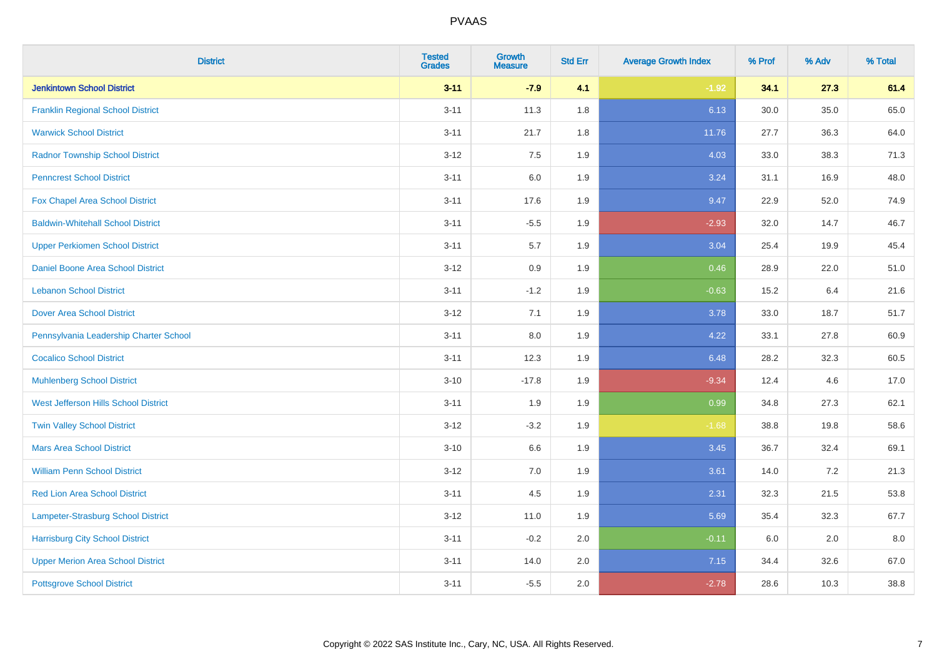| <b>District</b>                           | <b>Tested</b><br><b>Grades</b> | <b>Growth</b><br><b>Measure</b> | <b>Std Err</b> | <b>Average Growth Index</b> | % Prof | % Adv | % Total |
|-------------------------------------------|--------------------------------|---------------------------------|----------------|-----------------------------|--------|-------|---------|
| <b>Jenkintown School District</b>         | $3 - 11$                       | $-7.9$                          | 4.1            | $-1.92$                     | 34.1   | 27.3  | 61.4    |
| <b>Franklin Regional School District</b>  | $3 - 11$                       | 11.3                            | 1.8            | 6.13                        | 30.0   | 35.0  | 65.0    |
| <b>Warwick School District</b>            | $3 - 11$                       | 21.7                            | 1.8            | 11.76                       | 27.7   | 36.3  | 64.0    |
| <b>Radnor Township School District</b>    | $3 - 12$                       | 7.5                             | 1.9            | 4.03                        | 33.0   | 38.3  | 71.3    |
| <b>Penncrest School District</b>          | $3 - 11$                       | 6.0                             | 1.9            | 3.24                        | 31.1   | 16.9  | 48.0    |
| <b>Fox Chapel Area School District</b>    | $3 - 11$                       | 17.6                            | 1.9            | 9.47                        | 22.9   | 52.0  | 74.9    |
| <b>Baldwin-Whitehall School District</b>  | $3 - 11$                       | $-5.5$                          | 1.9            | $-2.93$                     | 32.0   | 14.7  | 46.7    |
| <b>Upper Perkiomen School District</b>    | $3 - 11$                       | 5.7                             | 1.9            | 3.04                        | 25.4   | 19.9  | 45.4    |
| Daniel Boone Area School District         | $3-12$                         | 0.9                             | 1.9            | 0.46                        | 28.9   | 22.0  | 51.0    |
| <b>Lebanon School District</b>            | $3 - 11$                       | $-1.2$                          | 1.9            | $-0.63$                     | 15.2   | 6.4   | 21.6    |
| <b>Dover Area School District</b>         | $3 - 12$                       | 7.1                             | 1.9            | 3.78                        | 33.0   | 18.7  | 51.7    |
| Pennsylvania Leadership Charter School    | $3 - 11$                       | 8.0                             | 1.9            | 4.22                        | 33.1   | 27.8  | 60.9    |
| <b>Cocalico School District</b>           | $3 - 11$                       | 12.3                            | 1.9            | 6.48                        | 28.2   | 32.3  | 60.5    |
| <b>Muhlenberg School District</b>         | $3 - 10$                       | $-17.8$                         | 1.9            | $-9.34$                     | 12.4   | 4.6   | 17.0    |
| West Jefferson Hills School District      | $3 - 11$                       | 1.9                             | 1.9            | 0.99                        | 34.8   | 27.3  | 62.1    |
| <b>Twin Valley School District</b>        | $3-12$                         | $-3.2$                          | 1.9            | $-1.68$                     | 38.8   | 19.8  | 58.6    |
| <b>Mars Area School District</b>          | $3 - 10$                       | 6.6                             | 1.9            | 3.45                        | 36.7   | 32.4  | 69.1    |
| <b>William Penn School District</b>       | $3-12$                         | 7.0                             | 1.9            | 3.61                        | 14.0   | 7.2   | 21.3    |
| <b>Red Lion Area School District</b>      | $3 - 11$                       | 4.5                             | 1.9            | 2.31                        | 32.3   | 21.5  | 53.8    |
| <b>Lampeter-Strasburg School District</b> | $3-12$                         | 11.0                            | 1.9            | 5.69                        | 35.4   | 32.3  | 67.7    |
| <b>Harrisburg City School District</b>    | $3 - 11$                       | $-0.2$                          | 2.0            | $-0.11$                     | 6.0    | 2.0   | 8.0     |
| <b>Upper Merion Area School District</b>  | $3 - 11$                       | 14.0                            | 2.0            | 7.15                        | 34.4   | 32.6  | 67.0    |
| <b>Pottsgrove School District</b>         | $3 - 11$                       | $-5.5$                          | 2.0            | $-2.78$                     | 28.6   | 10.3  | 38.8    |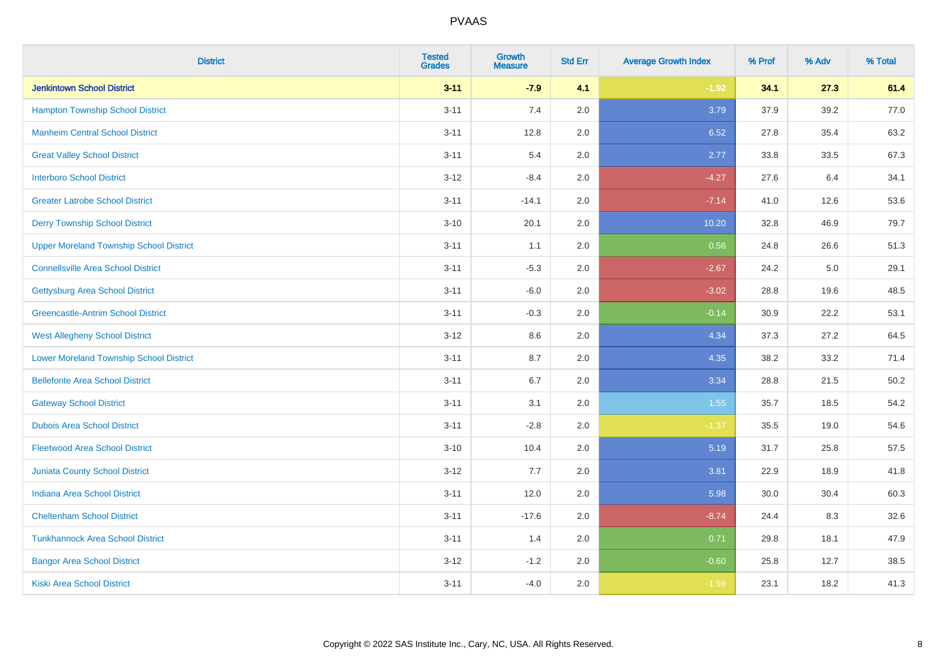| <b>District</b>                                | <b>Tested</b><br><b>Grades</b> | Growth<br><b>Measure</b> | <b>Std Err</b> | <b>Average Growth Index</b> | % Prof | % Adv | % Total |
|------------------------------------------------|--------------------------------|--------------------------|----------------|-----------------------------|--------|-------|---------|
| <b>Jenkintown School District</b>              | $3 - 11$                       | $-7.9$                   | 4.1            | $-1.92$                     | 34.1   | 27.3  | 61.4    |
| <b>Hampton Township School District</b>        | $3 - 11$                       | 7.4                      | 2.0            | 3.79                        | 37.9   | 39.2  | 77.0    |
| <b>Manheim Central School District</b>         | $3 - 11$                       | 12.8                     | 2.0            | 6.52                        | 27.8   | 35.4  | 63.2    |
| <b>Great Valley School District</b>            | $3 - 11$                       | 5.4                      | 2.0            | 2.77                        | 33.8   | 33.5  | 67.3    |
| <b>Interboro School District</b>               | $3 - 12$                       | $-8.4$                   | 2.0            | $-4.27$                     | 27.6   | 6.4   | 34.1    |
| <b>Greater Latrobe School District</b>         | $3 - 11$                       | $-14.1$                  | 2.0            | $-7.14$                     | 41.0   | 12.6  | 53.6    |
| <b>Derry Township School District</b>          | $3 - 10$                       | 20.1                     | 2.0            | 10.20                       | 32.8   | 46.9  | 79.7    |
| <b>Upper Moreland Township School District</b> | $3 - 11$                       | 1.1                      | 2.0            | 0.56                        | 24.8   | 26.6  | 51.3    |
| <b>Connellsville Area School District</b>      | $3 - 11$                       | $-5.3$                   | 2.0            | $-2.67$                     | 24.2   | 5.0   | 29.1    |
| <b>Gettysburg Area School District</b>         | $3 - 11$                       | $-6.0$                   | 2.0            | $-3.02$                     | 28.8   | 19.6  | 48.5    |
| <b>Greencastle-Antrim School District</b>      | $3 - 11$                       | $-0.3$                   | 2.0            | $-0.14$                     | 30.9   | 22.2  | 53.1    |
| <b>West Allegheny School District</b>          | $3 - 12$                       | 8.6                      | 2.0            | 4.34                        | 37.3   | 27.2  | 64.5    |
| <b>Lower Moreland Township School District</b> | $3 - 11$                       | 8.7                      | 2.0            | 4.35                        | 38.2   | 33.2  | 71.4    |
| <b>Bellefonte Area School District</b>         | $3 - 11$                       | 6.7                      | 2.0            | 3.34                        | 28.8   | 21.5  | 50.2    |
| <b>Gateway School District</b>                 | $3 - 11$                       | 3.1                      | 2.0            | 1.55                        | 35.7   | 18.5  | 54.2    |
| <b>Dubois Area School District</b>             | $3 - 11$                       | $-2.8$                   | 2.0            | $-1.37$                     | 35.5   | 19.0  | 54.6    |
| <b>Fleetwood Area School District</b>          | $3 - 10$                       | 10.4                     | 2.0            | 5.19                        | 31.7   | 25.8  | 57.5    |
| <b>Juniata County School District</b>          | $3 - 12$                       | 7.7                      | 2.0            | 3.81                        | 22.9   | 18.9  | 41.8    |
| <b>Indiana Area School District</b>            | $3 - 11$                       | 12.0                     | 2.0            | 5.98                        | 30.0   | 30.4  | 60.3    |
| <b>Cheltenham School District</b>              | $3 - 11$                       | $-17.6$                  | 2.0            | $-8.74$                     | 24.4   | 8.3   | 32.6    |
| <b>Tunkhannock Area School District</b>        | $3 - 11$                       | 1.4                      | 2.0            | 0.71                        | 29.8   | 18.1  | 47.9    |
| <b>Bangor Area School District</b>             | $3 - 12$                       | $-1.2$                   | 2.0            | $-0.60$                     | 25.8   | 12.7  | 38.5    |
| Kiski Area School District                     | $3 - 11$                       | $-4.0$                   | 2.0            | $-1.99$                     | 23.1   | 18.2  | 41.3    |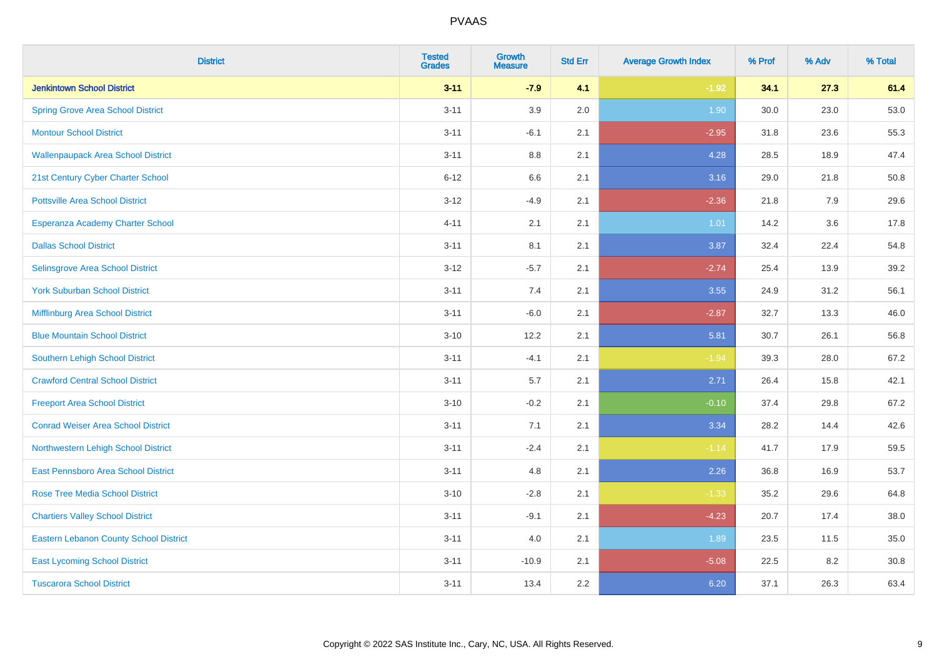| <b>District</b>                               | <b>Tested</b><br><b>Grades</b> | <b>Growth</b><br><b>Measure</b> | <b>Std Err</b> | <b>Average Growth Index</b> | % Prof | % Adv | % Total |
|-----------------------------------------------|--------------------------------|---------------------------------|----------------|-----------------------------|--------|-------|---------|
| <b>Jenkintown School District</b>             | $3 - 11$                       | $-7.9$                          | 4.1            | $-1.92$                     | 34.1   | 27.3  | 61.4    |
| <b>Spring Grove Area School District</b>      | $3 - 11$                       | 3.9                             | 2.0            | 1.90                        | 30.0   | 23.0  | 53.0    |
| <b>Montour School District</b>                | $3 - 11$                       | $-6.1$                          | 2.1            | $-2.95$                     | 31.8   | 23.6  | 55.3    |
| <b>Wallenpaupack Area School District</b>     | $3 - 11$                       | $8.8\,$                         | 2.1            | 4.28                        | 28.5   | 18.9  | 47.4    |
| 21st Century Cyber Charter School             | $6 - 12$                       | 6.6                             | 2.1            | 3.16                        | 29.0   | 21.8  | 50.8    |
| <b>Pottsville Area School District</b>        | $3 - 12$                       | $-4.9$                          | 2.1            | $-2.36$                     | 21.8   | 7.9   | 29.6    |
| Esperanza Academy Charter School              | $4 - 11$                       | 2.1                             | 2.1            | 1.01                        | 14.2   | 3.6   | 17.8    |
| <b>Dallas School District</b>                 | $3 - 11$                       | 8.1                             | 2.1            | 3.87                        | 32.4   | 22.4  | 54.8    |
| Selinsgrove Area School District              | $3-12$                         | $-5.7$                          | 2.1            | $-2.74$                     | 25.4   | 13.9  | 39.2    |
| <b>York Suburban School District</b>          | $3 - 11$                       | 7.4                             | 2.1            | 3.55                        | 24.9   | 31.2  | 56.1    |
| Mifflinburg Area School District              | $3 - 11$                       | $-6.0$                          | 2.1            | $-2.87$                     | 32.7   | 13.3  | 46.0    |
| <b>Blue Mountain School District</b>          | $3 - 10$                       | 12.2                            | 2.1            | 5.81                        | 30.7   | 26.1  | 56.8    |
| <b>Southern Lehigh School District</b>        | $3 - 11$                       | $-4.1$                          | 2.1            | $-1.94$                     | 39.3   | 28.0  | 67.2    |
| <b>Crawford Central School District</b>       | $3 - 11$                       | 5.7                             | 2.1            | 2.71                        | 26.4   | 15.8  | 42.1    |
| <b>Freeport Area School District</b>          | $3 - 10$                       | $-0.2$                          | 2.1            | $-0.10$                     | 37.4   | 29.8  | 67.2    |
| <b>Conrad Weiser Area School District</b>     | $3 - 11$                       | 7.1                             | 2.1            | 3.34                        | 28.2   | 14.4  | 42.6    |
| Northwestern Lehigh School District           | $3 - 11$                       | $-2.4$                          | 2.1            | $-1.14$                     | 41.7   | 17.9  | 59.5    |
| East Pennsboro Area School District           | $3 - 11$                       | 4.8                             | 2.1            | 2.26                        | 36.8   | 16.9  | 53.7    |
| <b>Rose Tree Media School District</b>        | $3 - 10$                       | $-2.8$                          | 2.1            | $-1.33$                     | 35.2   | 29.6  | 64.8    |
| <b>Chartiers Valley School District</b>       | $3 - 11$                       | $-9.1$                          | 2.1            | $-4.23$                     | 20.7   | 17.4  | 38.0    |
| <b>Eastern Lebanon County School District</b> | $3 - 11$                       | 4.0                             | 2.1            | 1.89                        | 23.5   | 11.5  | 35.0    |
| <b>East Lycoming School District</b>          | $3 - 11$                       | $-10.9$                         | 2.1            | $-5.08$                     | 22.5   | 8.2   | 30.8    |
| <b>Tuscarora School District</b>              | $3 - 11$                       | 13.4                            | 2.2            | 6.20                        | 37.1   | 26.3  | 63.4    |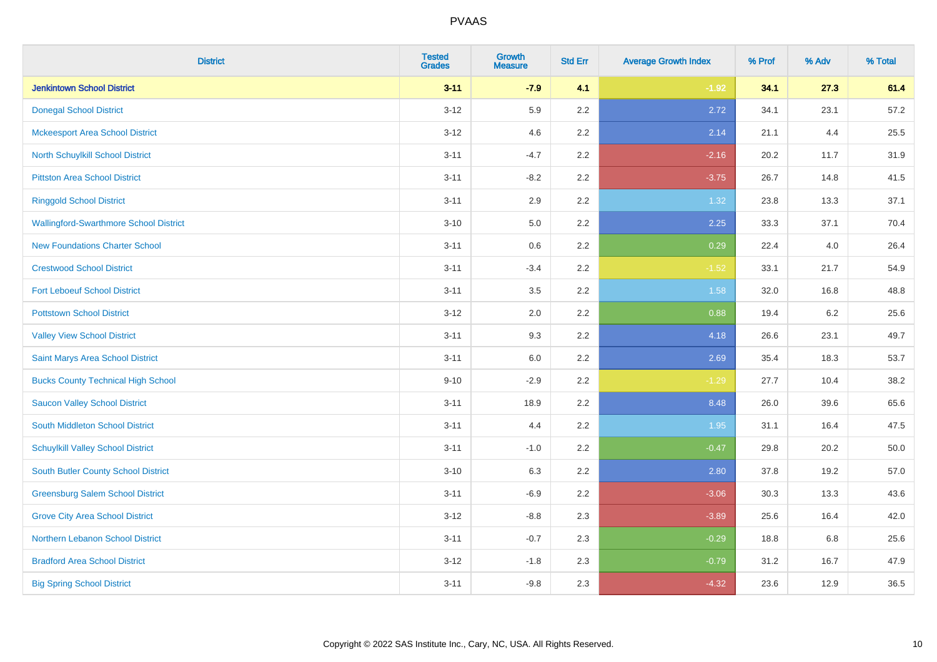| <b>District</b>                               | <b>Tested</b><br><b>Grades</b> | <b>Growth</b><br><b>Measure</b> | <b>Std Err</b> | <b>Average Growth Index</b> | % Prof | % Adv   | % Total |
|-----------------------------------------------|--------------------------------|---------------------------------|----------------|-----------------------------|--------|---------|---------|
| <b>Jenkintown School District</b>             | $3 - 11$                       | $-7.9$                          | 4.1            | $-1.92$                     | 34.1   | 27.3    | 61.4    |
| <b>Donegal School District</b>                | $3 - 12$                       | 5.9                             | 2.2            | 2.72                        | 34.1   | 23.1    | 57.2    |
| <b>Mckeesport Area School District</b>        | $3 - 12$                       | 4.6                             | 2.2            | 2.14                        | 21.1   | 4.4     | 25.5    |
| North Schuylkill School District              | $3 - 11$                       | $-4.7$                          | 2.2            | $-2.16$                     | 20.2   | 11.7    | 31.9    |
| <b>Pittston Area School District</b>          | $3 - 11$                       | $-8.2$                          | 2.2            | $-3.75$                     | 26.7   | 14.8    | 41.5    |
| <b>Ringgold School District</b>               | $3 - 11$                       | 2.9                             | 2.2            | 1.32                        | 23.8   | 13.3    | 37.1    |
| <b>Wallingford-Swarthmore School District</b> | $3 - 10$                       | 5.0                             | 2.2            | 2.25                        | 33.3   | 37.1    | 70.4    |
| <b>New Foundations Charter School</b>         | $3 - 11$                       | 0.6                             | 2.2            | 0.29                        | 22.4   | 4.0     | 26.4    |
| <b>Crestwood School District</b>              | $3 - 11$                       | $-3.4$                          | 2.2            | $-1.52$                     | 33.1   | 21.7    | 54.9    |
| <b>Fort Leboeuf School District</b>           | $3 - 11$                       | 3.5                             | 2.2            | 1.58                        | 32.0   | 16.8    | 48.8    |
| <b>Pottstown School District</b>              | $3 - 12$                       | 2.0                             | 2.2            | 0.88                        | 19.4   | $6.2\,$ | 25.6    |
| <b>Valley View School District</b>            | $3 - 11$                       | 9.3                             | 2.2            | 4.18                        | 26.6   | 23.1    | 49.7    |
| Saint Marys Area School District              | $3 - 11$                       | 6.0                             | 2.2            | 2.69                        | 35.4   | 18.3    | 53.7    |
| <b>Bucks County Technical High School</b>     | $9 - 10$                       | $-2.9$                          | 2.2            | $-1.29$                     | 27.7   | 10.4    | 38.2    |
| <b>Saucon Valley School District</b>          | $3 - 11$                       | 18.9                            | 2.2            | 8.48                        | 26.0   | 39.6    | 65.6    |
| South Middleton School District               | $3 - 11$                       | 4.4                             | 2.2            | 1.95                        | 31.1   | 16.4    | 47.5    |
| <b>Schuylkill Valley School District</b>      | $3 - 11$                       | $-1.0$                          | 2.2            | $-0.47$                     | 29.8   | 20.2    | 50.0    |
| South Butler County School District           | $3 - 10$                       | 6.3                             | 2.2            | 2.80                        | 37.8   | 19.2    | 57.0    |
| <b>Greensburg Salem School District</b>       | $3 - 11$                       | $-6.9$                          | 2.2            | $-3.06$                     | 30.3   | 13.3    | 43.6    |
| <b>Grove City Area School District</b>        | $3-12$                         | $-8.8$                          | 2.3            | $-3.89$                     | 25.6   | 16.4    | 42.0    |
| Northern Lebanon School District              | $3 - 11$                       | $-0.7$                          | 2.3            | $-0.29$                     | 18.8   | 6.8     | 25.6    |
| <b>Bradford Area School District</b>          | $3-12$                         | $-1.8$                          | 2.3            | $-0.79$                     | 31.2   | 16.7    | 47.9    |
| <b>Big Spring School District</b>             | $3 - 11$                       | $-9.8$                          | 2.3            | $-4.32$                     | 23.6   | 12.9    | 36.5    |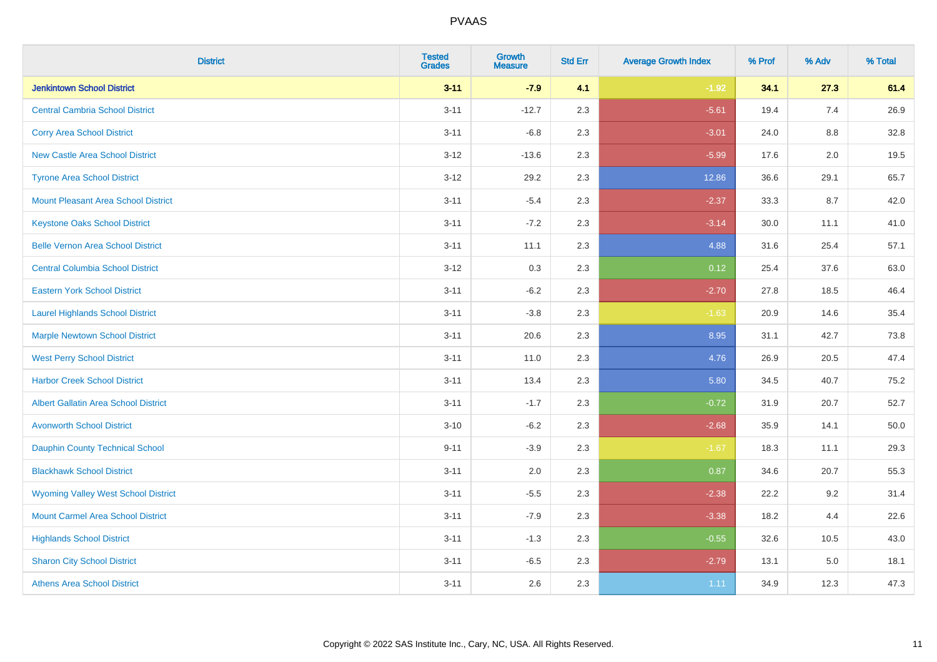| <b>District</b>                             | <b>Tested</b><br><b>Grades</b> | <b>Growth</b><br><b>Measure</b> | <b>Std Err</b> | <b>Average Growth Index</b> | % Prof | % Adv   | % Total |
|---------------------------------------------|--------------------------------|---------------------------------|----------------|-----------------------------|--------|---------|---------|
| <b>Jenkintown School District</b>           | $3 - 11$                       | $-7.9$                          | 4.1            | $-1.92$                     | 34.1   | 27.3    | 61.4    |
| <b>Central Cambria School District</b>      | $3 - 11$                       | $-12.7$                         | 2.3            | $-5.61$                     | 19.4   | 7.4     | 26.9    |
| <b>Corry Area School District</b>           | $3 - 11$                       | $-6.8$                          | 2.3            | $-3.01$                     | 24.0   | $8.8\,$ | 32.8    |
| <b>New Castle Area School District</b>      | $3 - 12$                       | $-13.6$                         | 2.3            | $-5.99$                     | 17.6   | $2.0\,$ | 19.5    |
| <b>Tyrone Area School District</b>          | $3 - 12$                       | 29.2                            | 2.3            | 12.86                       | 36.6   | 29.1    | 65.7    |
| <b>Mount Pleasant Area School District</b>  | $3 - 11$                       | $-5.4$                          | 2.3            | $-2.37$                     | 33.3   | 8.7     | 42.0    |
| <b>Keystone Oaks School District</b>        | $3 - 11$                       | $-7.2$                          | 2.3            | $-3.14$                     | 30.0   | 11.1    | 41.0    |
| <b>Belle Vernon Area School District</b>    | $3 - 11$                       | 11.1                            | 2.3            | 4.88                        | 31.6   | 25.4    | 57.1    |
| <b>Central Columbia School District</b>     | $3-12$                         | 0.3                             | 2.3            | 0.12                        | 25.4   | 37.6    | 63.0    |
| <b>Eastern York School District</b>         | $3 - 11$                       | $-6.2$                          | 2.3            | $-2.70$                     | 27.8   | 18.5    | 46.4    |
| <b>Laurel Highlands School District</b>     | $3 - 11$                       | $-3.8$                          | 2.3            | $-1.63$                     | 20.9   | 14.6    | 35.4    |
| <b>Marple Newtown School District</b>       | $3 - 11$                       | 20.6                            | 2.3            | 8.95                        | 31.1   | 42.7    | 73.8    |
| <b>West Perry School District</b>           | $3 - 11$                       | 11.0                            | 2.3            | 4.76                        | 26.9   | 20.5    | 47.4    |
| <b>Harbor Creek School District</b>         | $3 - 11$                       | 13.4                            | 2.3            | 5.80                        | 34.5   | 40.7    | 75.2    |
| <b>Albert Gallatin Area School District</b> | $3 - 11$                       | $-1.7$                          | 2.3            | $-0.72$                     | 31.9   | 20.7    | 52.7    |
| <b>Avonworth School District</b>            | $3 - 10$                       | $-6.2$                          | 2.3            | $-2.68$                     | 35.9   | 14.1    | 50.0    |
| <b>Dauphin County Technical School</b>      | $9 - 11$                       | $-3.9$                          | 2.3            | $-1.67$                     | 18.3   | 11.1    | 29.3    |
| <b>Blackhawk School District</b>            | $3 - 11$                       | 2.0                             | 2.3            | 0.87                        | 34.6   | 20.7    | 55.3    |
| <b>Wyoming Valley West School District</b>  | $3 - 11$                       | $-5.5$                          | 2.3            | $-2.38$                     | 22.2   | 9.2     | 31.4    |
| <b>Mount Carmel Area School District</b>    | $3 - 11$                       | $-7.9$                          | 2.3            | $-3.38$                     | 18.2   | 4.4     | 22.6    |
| <b>Highlands School District</b>            | $3 - 11$                       | $-1.3$                          | 2.3            | $-0.55$                     | 32.6   | 10.5    | 43.0    |
| <b>Sharon City School District</b>          | $3 - 11$                       | $-6.5$                          | 2.3            | $-2.79$                     | 13.1   | 5.0     | 18.1    |
| <b>Athens Area School District</b>          | $3 - 11$                       | 2.6                             | 2.3            | 1.11                        | 34.9   | 12.3    | 47.3    |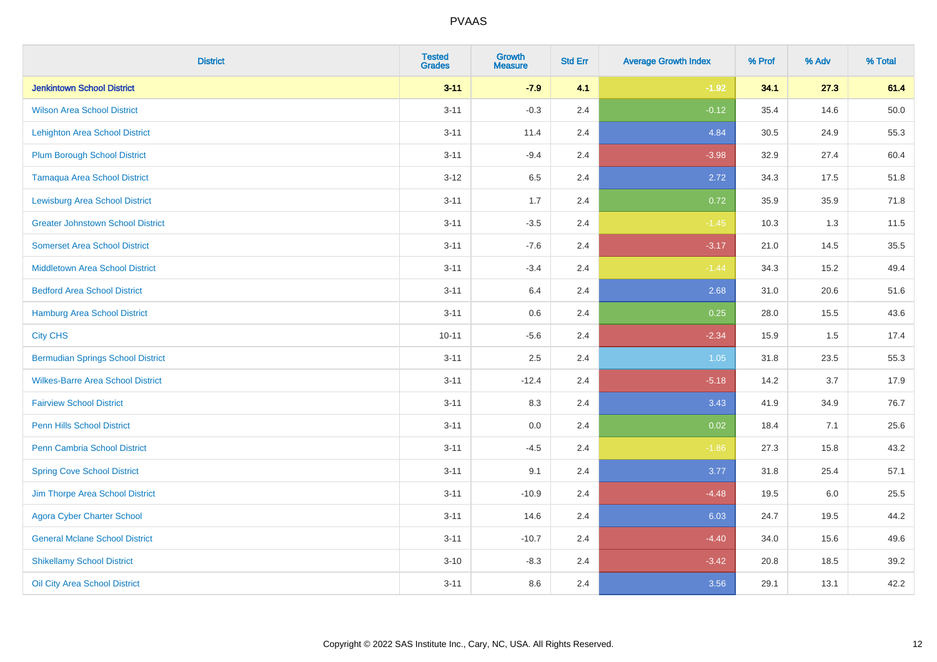| <b>District</b>                          | <b>Tested</b><br><b>Grades</b> | <b>Growth</b><br><b>Measure</b> | <b>Std Err</b> | <b>Average Growth Index</b> | % Prof | % Adv | % Total |
|------------------------------------------|--------------------------------|---------------------------------|----------------|-----------------------------|--------|-------|---------|
| <b>Jenkintown School District</b>        | $3 - 11$                       | $-7.9$                          | 4.1            | $-1.92$                     | 34.1   | 27.3  | 61.4    |
| <b>Wilson Area School District</b>       | $3 - 11$                       | $-0.3$                          | 2.4            | $-0.12$                     | 35.4   | 14.6  | 50.0    |
| <b>Lehighton Area School District</b>    | $3 - 11$                       | 11.4                            | 2.4            | 4.84                        | 30.5   | 24.9  | 55.3    |
| <b>Plum Borough School District</b>      | $3 - 11$                       | $-9.4$                          | 2.4            | $-3.98$                     | 32.9   | 27.4  | 60.4    |
| <b>Tamaqua Area School District</b>      | $3 - 12$                       | 6.5                             | 2.4            | 2.72                        | 34.3   | 17.5  | 51.8    |
| <b>Lewisburg Area School District</b>    | $3 - 11$                       | 1.7                             | 2.4            | 0.72                        | 35.9   | 35.9  | 71.8    |
| <b>Greater Johnstown School District</b> | $3 - 11$                       | $-3.5$                          | 2.4            | $-1.45$                     | 10.3   | 1.3   | 11.5    |
| <b>Somerset Area School District</b>     | $3 - 11$                       | $-7.6$                          | 2.4            | $-3.17$                     | 21.0   | 14.5  | 35.5    |
| <b>Middletown Area School District</b>   | $3 - 11$                       | $-3.4$                          | 2.4            | $-1.44$                     | 34.3   | 15.2  | 49.4    |
| <b>Bedford Area School District</b>      | $3 - 11$                       | 6.4                             | 2.4            | 2.68                        | 31.0   | 20.6  | 51.6    |
| Hamburg Area School District             | $3 - 11$                       | 0.6                             | 2.4            | 0.25                        | 28.0   | 15.5  | 43.6    |
| <b>City CHS</b>                          | $10 - 11$                      | $-5.6$                          | 2.4            | $-2.34$                     | 15.9   | 1.5   | 17.4    |
| <b>Bermudian Springs School District</b> | $3 - 11$                       | 2.5                             | 2.4            | 1.05                        | 31.8   | 23.5  | 55.3    |
| <b>Wilkes-Barre Area School District</b> | $3 - 11$                       | $-12.4$                         | 2.4            | $-5.18$                     | 14.2   | 3.7   | 17.9    |
| <b>Fairview School District</b>          | $3 - 11$                       | 8.3                             | 2.4            | 3.43                        | 41.9   | 34.9  | 76.7    |
| <b>Penn Hills School District</b>        | $3 - 11$                       | 0.0                             | 2.4            | 0.02                        | 18.4   | 7.1   | 25.6    |
| Penn Cambria School District             | $3 - 11$                       | $-4.5$                          | 2.4            | $-1.86$                     | 27.3   | 15.8  | 43.2    |
| <b>Spring Cove School District</b>       | $3 - 11$                       | 9.1                             | 2.4            | 3.77                        | 31.8   | 25.4  | 57.1    |
| Jim Thorpe Area School District          | $3 - 11$                       | $-10.9$                         | 2.4            | $-4.48$                     | 19.5   | 6.0   | 25.5    |
| <b>Agora Cyber Charter School</b>        | $3 - 11$                       | 14.6                            | 2.4            | 6.03                        | 24.7   | 19.5  | 44.2    |
| <b>General Mclane School District</b>    | $3 - 11$                       | $-10.7$                         | 2.4            | $-4.40$                     | 34.0   | 15.6  | 49.6    |
| <b>Shikellamy School District</b>        | $3 - 10$                       | $-8.3$                          | 2.4            | $-3.42$                     | 20.8   | 18.5  | 39.2    |
| Oil City Area School District            | $3 - 11$                       | 8.6                             | 2.4            | 3.56                        | 29.1   | 13.1  | 42.2    |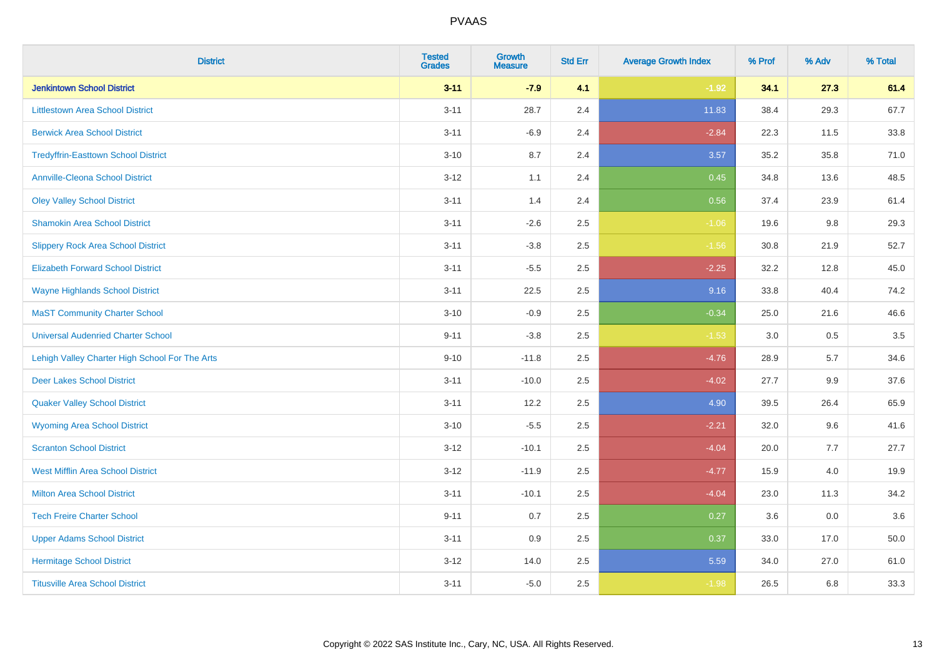| <b>District</b>                                | <b>Tested</b><br><b>Grades</b> | <b>Growth</b><br><b>Measure</b> | <b>Std Err</b> | <b>Average Growth Index</b> | % Prof | % Adv | % Total |
|------------------------------------------------|--------------------------------|---------------------------------|----------------|-----------------------------|--------|-------|---------|
| <b>Jenkintown School District</b>              | $3 - 11$                       | $-7.9$                          | 4.1            | $-1.92$                     | 34.1   | 27.3  | 61.4    |
| <b>Littlestown Area School District</b>        | $3 - 11$                       | 28.7                            | 2.4            | 11.83                       | 38.4   | 29.3  | 67.7    |
| <b>Berwick Area School District</b>            | $3 - 11$                       | $-6.9$                          | 2.4            | $-2.84$                     | 22.3   | 11.5  | 33.8    |
| <b>Tredyffrin-Easttown School District</b>     | $3 - 10$                       | 8.7                             | 2.4            | 3.57                        | 35.2   | 35.8  | 71.0    |
| <b>Annville-Cleona School District</b>         | $3 - 12$                       | 1.1                             | 2.4            | 0.45                        | 34.8   | 13.6  | 48.5    |
| <b>Oley Valley School District</b>             | $3 - 11$                       | 1.4                             | 2.4            | 0.56                        | 37.4   | 23.9  | 61.4    |
| <b>Shamokin Area School District</b>           | $3 - 11$                       | $-2.6$                          | 2.5            | $-1.06$                     | 19.6   | 9.8   | 29.3    |
| <b>Slippery Rock Area School District</b>      | $3 - 11$                       | $-3.8$                          | 2.5            | $-1.56$                     | 30.8   | 21.9  | 52.7    |
| <b>Elizabeth Forward School District</b>       | $3 - 11$                       | $-5.5$                          | 2.5            | $-2.25$                     | 32.2   | 12.8  | 45.0    |
| <b>Wayne Highlands School District</b>         | $3 - 11$                       | 22.5                            | 2.5            | 9.16                        | 33.8   | 40.4  | 74.2    |
| <b>MaST Community Charter School</b>           | $3 - 10$                       | $-0.9$                          | 2.5            | $-0.34$                     | 25.0   | 21.6  | 46.6    |
| <b>Universal Audenried Charter School</b>      | $9 - 11$                       | $-3.8$                          | 2.5            | $-1.53$                     | 3.0    | 0.5   | 3.5     |
| Lehigh Valley Charter High School For The Arts | $9 - 10$                       | $-11.8$                         | 2.5            | $-4.76$                     | 28.9   | 5.7   | 34.6    |
| <b>Deer Lakes School District</b>              | $3 - 11$                       | $-10.0$                         | 2.5            | $-4.02$                     | 27.7   | 9.9   | 37.6    |
| <b>Quaker Valley School District</b>           | $3 - 11$                       | 12.2                            | 2.5            | 4.90                        | 39.5   | 26.4  | 65.9    |
| <b>Wyoming Area School District</b>            | $3 - 10$                       | $-5.5$                          | 2.5            | $-2.21$                     | 32.0   | 9.6   | 41.6    |
| <b>Scranton School District</b>                | $3 - 12$                       | $-10.1$                         | 2.5            | $-4.04$                     | 20.0   | 7.7   | 27.7    |
| <b>West Mifflin Area School District</b>       | $3 - 12$                       | $-11.9$                         | 2.5            | $-4.77$                     | 15.9   | 4.0   | 19.9    |
| <b>Milton Area School District</b>             | $3 - 11$                       | $-10.1$                         | 2.5            | $-4.04$                     | 23.0   | 11.3  | 34.2    |
| <b>Tech Freire Charter School</b>              | $9 - 11$                       | 0.7                             | 2.5            | 0.27                        | 3.6    | 0.0   | 3.6     |
| <b>Upper Adams School District</b>             | $3 - 11$                       | 0.9                             | 2.5            | 0.37                        | 33.0   | 17.0  | 50.0    |
| <b>Hermitage School District</b>               | $3 - 12$                       | 14.0                            | 2.5            | 5.59                        | 34.0   | 27.0  | 61.0    |
| <b>Titusville Area School District</b>         | $3 - 11$                       | $-5.0$                          | 2.5            | $-1.98$                     | 26.5   | 6.8   | 33.3    |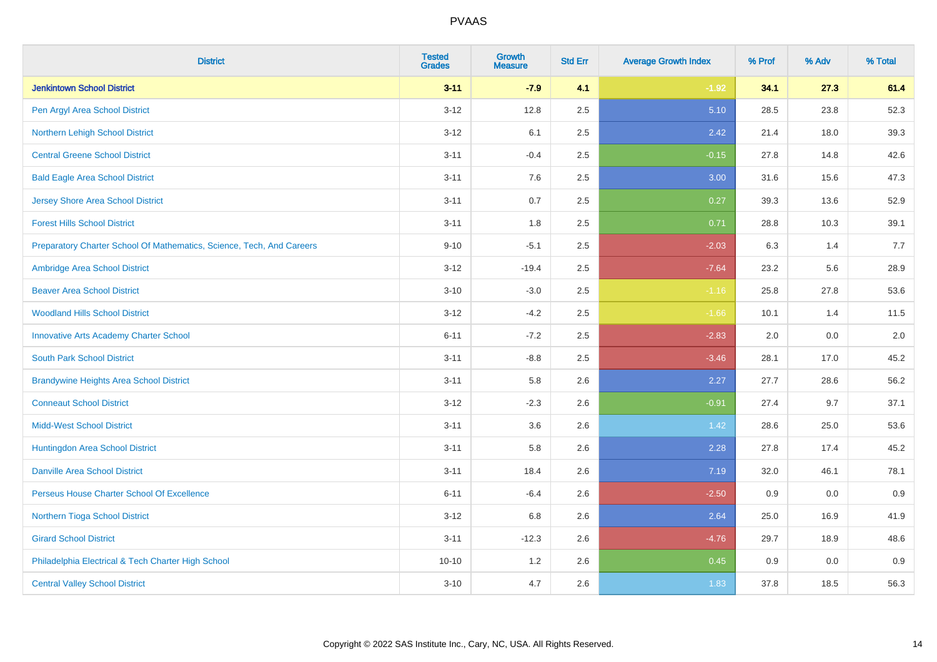| <b>District</b>                                                       | <b>Tested</b><br><b>Grades</b> | Growth<br><b>Measure</b> | <b>Std Err</b> | <b>Average Growth Index</b> | % Prof | % Adv | % Total |
|-----------------------------------------------------------------------|--------------------------------|--------------------------|----------------|-----------------------------|--------|-------|---------|
| <b>Jenkintown School District</b>                                     | $3 - 11$                       | $-7.9$                   | 4.1            | $-1.92$                     | 34.1   | 27.3  | 61.4    |
| Pen Argyl Area School District                                        | $3 - 12$                       | 12.8                     | 2.5            | 5.10                        | 28.5   | 23.8  | 52.3    |
| Northern Lehigh School District                                       | $3 - 12$                       | 6.1                      | 2.5            | 2.42                        | 21.4   | 18.0  | 39.3    |
| <b>Central Greene School District</b>                                 | $3 - 11$                       | $-0.4$                   | 2.5            | $-0.15$                     | 27.8   | 14.8  | 42.6    |
| <b>Bald Eagle Area School District</b>                                | $3 - 11$                       | 7.6                      | 2.5            | 3.00                        | 31.6   | 15.6  | 47.3    |
| <b>Jersey Shore Area School District</b>                              | $3 - 11$                       | 0.7                      | 2.5            | 0.27                        | 39.3   | 13.6  | 52.9    |
| <b>Forest Hills School District</b>                                   | $3 - 11$                       | 1.8                      | 2.5            | 0.71                        | 28.8   | 10.3  | 39.1    |
| Preparatory Charter School Of Mathematics, Science, Tech, And Careers | $9 - 10$                       | $-5.1$                   | 2.5            | $-2.03$                     | 6.3    | 1.4   | 7.7     |
| Ambridge Area School District                                         | $3 - 12$                       | $-19.4$                  | 2.5            | $-7.64$                     | 23.2   | 5.6   | 28.9    |
| <b>Beaver Area School District</b>                                    | $3 - 10$                       | $-3.0$                   | $2.5\,$        | $-1.16$                     | 25.8   | 27.8  | 53.6    |
| <b>Woodland Hills School District</b>                                 | $3 - 12$                       | $-4.2$                   | 2.5            | $-1.66$                     | 10.1   | 1.4   | 11.5    |
| <b>Innovative Arts Academy Charter School</b>                         | $6 - 11$                       | $-7.2$                   | 2.5            | $-2.83$                     | 2.0    | 0.0   | 2.0     |
| <b>South Park School District</b>                                     | $3 - 11$                       | $-8.8$                   | 2.5            | $-3.46$                     | 28.1   | 17.0  | 45.2    |
| <b>Brandywine Heights Area School District</b>                        | $3 - 11$                       | 5.8                      | 2.6            | 2.27                        | 27.7   | 28.6  | 56.2    |
| <b>Conneaut School District</b>                                       | $3 - 12$                       | $-2.3$                   | 2.6            | $-0.91$                     | 27.4   | 9.7   | 37.1    |
| <b>Midd-West School District</b>                                      | $3 - 11$                       | 3.6                      | 2.6            | 1.42                        | 28.6   | 25.0  | 53.6    |
| Huntingdon Area School District                                       | $3 - 11$                       | 5.8                      | 2.6            | 2.28                        | 27.8   | 17.4  | 45.2    |
| <b>Danville Area School District</b>                                  | $3 - 11$                       | 18.4                     | 2.6            | 7.19                        | 32.0   | 46.1  | 78.1    |
| Perseus House Charter School Of Excellence                            | $6 - 11$                       | $-6.4$                   | 2.6            | $-2.50$                     | 0.9    | 0.0   | 0.9     |
| Northern Tioga School District                                        | $3 - 12$                       | 6.8                      | 2.6            | 2.64                        | 25.0   | 16.9  | 41.9    |
| <b>Girard School District</b>                                         | $3 - 11$                       | $-12.3$                  | 2.6            | $-4.76$                     | 29.7   | 18.9  | 48.6    |
| Philadelphia Electrical & Tech Charter High School                    | $10 - 10$                      | 1.2                      | 2.6            | 0.45                        | 0.9    | 0.0   | 0.9     |
| <b>Central Valley School District</b>                                 | $3 - 10$                       | 4.7                      | 2.6            | 1.83                        | 37.8   | 18.5  | 56.3    |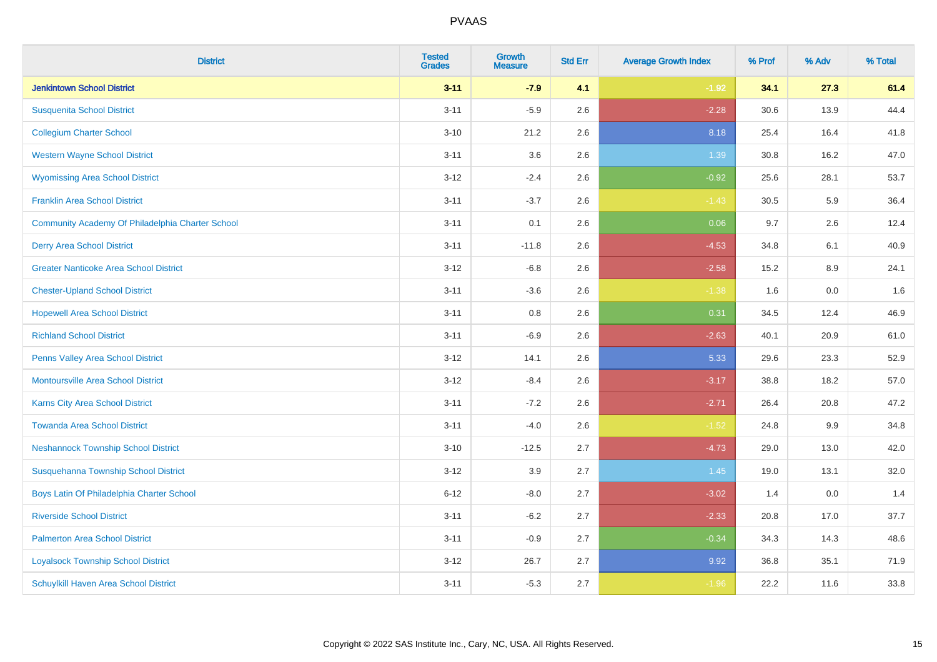| <b>District</b>                                  | <b>Tested</b><br><b>Grades</b> | <b>Growth</b><br><b>Measure</b> | <b>Std Err</b> | <b>Average Growth Index</b> | % Prof | % Adv | % Total |
|--------------------------------------------------|--------------------------------|---------------------------------|----------------|-----------------------------|--------|-------|---------|
| <b>Jenkintown School District</b>                | $3 - 11$                       | $-7.9$                          | 4.1            | $-1.92$                     | 34.1   | 27.3  | 61.4    |
| <b>Susquenita School District</b>                | $3 - 11$                       | $-5.9$                          | 2.6            | $-2.28$                     | 30.6   | 13.9  | 44.4    |
| <b>Collegium Charter School</b>                  | $3 - 10$                       | 21.2                            | 2.6            | 8.18                        | 25.4   | 16.4  | 41.8    |
| <b>Western Wayne School District</b>             | $3 - 11$                       | 3.6                             | 2.6            | 1.39                        | 30.8   | 16.2  | 47.0    |
| <b>Wyomissing Area School District</b>           | $3 - 12$                       | $-2.4$                          | 2.6            | $-0.92$                     | 25.6   | 28.1  | 53.7    |
| <b>Franklin Area School District</b>             | $3 - 11$                       | $-3.7$                          | 2.6            | $-1.43$                     | 30.5   | 5.9   | 36.4    |
| Community Academy Of Philadelphia Charter School | $3 - 11$                       | 0.1                             | 2.6            | 0.06                        | 9.7    | 2.6   | 12.4    |
| <b>Derry Area School District</b>                | $3 - 11$                       | $-11.8$                         | 2.6            | $-4.53$                     | 34.8   | 6.1   | 40.9    |
| <b>Greater Nanticoke Area School District</b>    | $3 - 12$                       | $-6.8$                          | 2.6            | $-2.58$                     | 15.2   | 8.9   | 24.1    |
| <b>Chester-Upland School District</b>            | $3 - 11$                       | $-3.6$                          | 2.6            | $-1.38$                     | 1.6    | 0.0   | 1.6     |
| <b>Hopewell Area School District</b>             | $3 - 11$                       | 0.8                             | 2.6            | 0.31                        | 34.5   | 12.4  | 46.9    |
| <b>Richland School District</b>                  | $3 - 11$                       | $-6.9$                          | 2.6            | $-2.63$                     | 40.1   | 20.9  | 61.0    |
| Penns Valley Area School District                | $3 - 12$                       | 14.1                            | 2.6            | 5.33                        | 29.6   | 23.3  | 52.9    |
| <b>Montoursville Area School District</b>        | $3 - 12$                       | $-8.4$                          | 2.6            | $-3.17$                     | 38.8   | 18.2  | 57.0    |
| Karns City Area School District                  | $3 - 11$                       | $-7.2$                          | 2.6            | $-2.71$                     | 26.4   | 20.8  | 47.2    |
| <b>Towanda Area School District</b>              | $3 - 11$                       | $-4.0$                          | 2.6            | $-1.52$                     | 24.8   | 9.9   | 34.8    |
| <b>Neshannock Township School District</b>       | $3 - 10$                       | $-12.5$                         | 2.7            | $-4.73$                     | 29.0   | 13.0  | 42.0    |
| Susquehanna Township School District             | $3 - 12$                       | 3.9                             | 2.7            | 1.45                        | 19.0   | 13.1  | 32.0    |
| Boys Latin Of Philadelphia Charter School        | $6 - 12$                       | $-8.0$                          | 2.7            | $-3.02$                     | 1.4    | 0.0   | 1.4     |
| <b>Riverside School District</b>                 | $3 - 11$                       | $-6.2$                          | 2.7            | $-2.33$                     | 20.8   | 17.0  | 37.7    |
| <b>Palmerton Area School District</b>            | $3 - 11$                       | $-0.9$                          | 2.7            | $-0.34$                     | 34.3   | 14.3  | 48.6    |
| <b>Loyalsock Township School District</b>        | $3 - 12$                       | 26.7                            | 2.7            | 9.92                        | 36.8   | 35.1  | 71.9    |
| <b>Schuylkill Haven Area School District</b>     | $3 - 11$                       | $-5.3$                          | 2.7            | $-1.96$                     | 22.2   | 11.6  | 33.8    |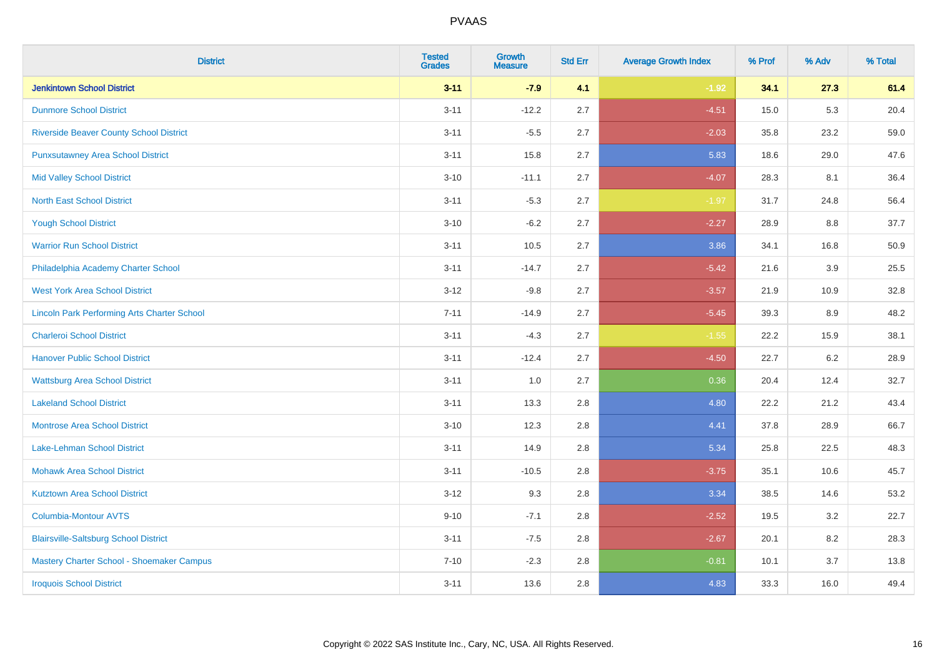| <b>District</b>                                    | <b>Tested</b><br><b>Grades</b> | <b>Growth</b><br><b>Measure</b> | <b>Std Err</b> | <b>Average Growth Index</b> | % Prof | % Adv   | % Total |
|----------------------------------------------------|--------------------------------|---------------------------------|----------------|-----------------------------|--------|---------|---------|
| <b>Jenkintown School District</b>                  | $3 - 11$                       | $-7.9$                          | 4.1            | $-1.92$                     | 34.1   | 27.3    | 61.4    |
| <b>Dunmore School District</b>                     | $3 - 11$                       | $-12.2$                         | 2.7            | $-4.51$                     | 15.0   | $5.3\,$ | 20.4    |
| <b>Riverside Beaver County School District</b>     | $3 - 11$                       | $-5.5$                          | 2.7            | $-2.03$                     | 35.8   | 23.2    | 59.0    |
| <b>Punxsutawney Area School District</b>           | $3 - 11$                       | 15.8                            | 2.7            | 5.83                        | 18.6   | 29.0    | 47.6    |
| <b>Mid Valley School District</b>                  | $3 - 10$                       | $-11.1$                         | 2.7            | $-4.07$                     | 28.3   | 8.1     | 36.4    |
| <b>North East School District</b>                  | $3 - 11$                       | $-5.3$                          | 2.7            | $-1.97$                     | 31.7   | 24.8    | 56.4    |
| <b>Yough School District</b>                       | $3 - 10$                       | $-6.2$                          | 2.7            | $-2.27$                     | 28.9   | 8.8     | 37.7    |
| <b>Warrior Run School District</b>                 | $3 - 11$                       | 10.5                            | 2.7            | 3.86                        | 34.1   | 16.8    | 50.9    |
| Philadelphia Academy Charter School                | $3 - 11$                       | $-14.7$                         | 2.7            | $-5.42$                     | 21.6   | 3.9     | 25.5    |
| <b>West York Area School District</b>              | $3 - 12$                       | $-9.8$                          | 2.7            | $-3.57$                     | 21.9   | 10.9    | 32.8    |
| <b>Lincoln Park Performing Arts Charter School</b> | $7 - 11$                       | $-14.9$                         | 2.7            | $-5.45$                     | 39.3   | 8.9     | 48.2    |
| <b>Charleroi School District</b>                   | $3 - 11$                       | $-4.3$                          | 2.7            | $-1.55$                     | 22.2   | 15.9    | 38.1    |
| <b>Hanover Public School District</b>              | $3 - 11$                       | $-12.4$                         | 2.7            | $-4.50$                     | 22.7   | 6.2     | 28.9    |
| <b>Wattsburg Area School District</b>              | $3 - 11$                       | 1.0                             | 2.7            | 0.36                        | 20.4   | 12.4    | 32.7    |
| <b>Lakeland School District</b>                    | $3 - 11$                       | 13.3                            | 2.8            | 4.80                        | 22.2   | 21.2    | 43.4    |
| <b>Montrose Area School District</b>               | $3 - 10$                       | 12.3                            | 2.8            | 4.41                        | 37.8   | 28.9    | 66.7    |
| Lake-Lehman School District                        | $3 - 11$                       | 14.9                            | 2.8            | 5.34                        | 25.8   | 22.5    | 48.3    |
| <b>Mohawk Area School District</b>                 | $3 - 11$                       | $-10.5$                         | 2.8            | $-3.75$                     | 35.1   | 10.6    | 45.7    |
| <b>Kutztown Area School District</b>               | $3 - 12$                       | 9.3                             | 2.8            | 3.34                        | 38.5   | 14.6    | 53.2    |
| Columbia-Montour AVTS                              | $9 - 10$                       | $-7.1$                          | 2.8            | $-2.52$                     | 19.5   | 3.2     | 22.7    |
| <b>Blairsville-Saltsburg School District</b>       | $3 - 11$                       | $-7.5$                          | 2.8            | $-2.67$                     | 20.1   | 8.2     | 28.3    |
| Mastery Charter School - Shoemaker Campus          | $7 - 10$                       | $-2.3$                          | 2.8            | $-0.81$                     | 10.1   | 3.7     | 13.8    |
| <b>Iroquois School District</b>                    | $3 - 11$                       | 13.6                            | 2.8            | 4.83                        | 33.3   | 16.0    | 49.4    |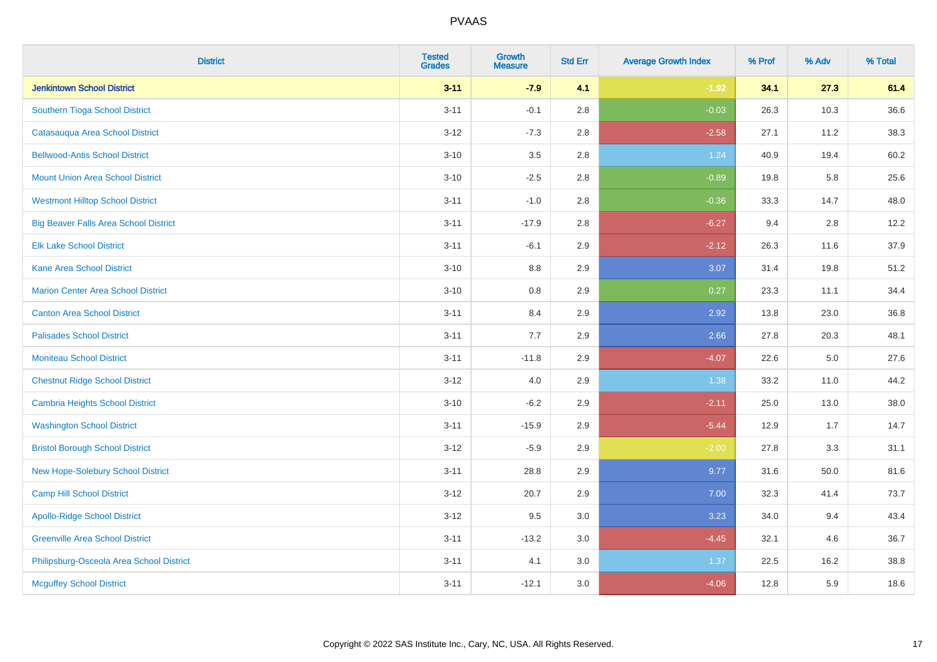| <b>District</b>                              | <b>Tested</b><br><b>Grades</b> | <b>Growth</b><br><b>Measure</b> | <b>Std Err</b> | <b>Average Growth Index</b> | % Prof | % Adv | % Total |
|----------------------------------------------|--------------------------------|---------------------------------|----------------|-----------------------------|--------|-------|---------|
| <b>Jenkintown School District</b>            | $3 - 11$                       | $-7.9$                          | 4.1            | $-1.92$                     | 34.1   | 27.3  | 61.4    |
| Southern Tioga School District               | $3 - 11$                       | $-0.1$                          | 2.8            | $-0.03$                     | 26.3   | 10.3  | 36.6    |
| Catasauqua Area School District              | $3 - 12$                       | $-7.3$                          | 2.8            | $-2.58$                     | 27.1   | 11.2  | 38.3    |
| <b>Bellwood-Antis School District</b>        | $3 - 10$                       | $3.5\,$                         | 2.8            | 1.24                        | 40.9   | 19.4  | 60.2    |
| <b>Mount Union Area School District</b>      | $3 - 10$                       | $-2.5$                          | 2.8            | $-0.89$                     | 19.8   | 5.8   | 25.6    |
| <b>Westmont Hilltop School District</b>      | $3 - 11$                       | $-1.0$                          | 2.8            | $-0.36$                     | 33.3   | 14.7  | 48.0    |
| <b>Big Beaver Falls Area School District</b> | $3 - 11$                       | $-17.9$                         | 2.8            | $-6.27$                     | 9.4    | 2.8   | 12.2    |
| <b>Elk Lake School District</b>              | $3 - 11$                       | $-6.1$                          | 2.9            | $-2.12$                     | 26.3   | 11.6  | 37.9    |
| <b>Kane Area School District</b>             | $3 - 10$                       | 8.8                             | 2.9            | 3.07                        | 31.4   | 19.8  | 51.2    |
| <b>Marion Center Area School District</b>    | $3 - 10$                       | 0.8                             | 2.9            | 0.27                        | 23.3   | 11.1  | 34.4    |
| <b>Canton Area School District</b>           | $3 - 11$                       | 8.4                             | 2.9            | 2.92                        | 13.8   | 23.0  | 36.8    |
| <b>Palisades School District</b>             | $3 - 11$                       | 7.7                             | 2.9            | 2.66                        | 27.8   | 20.3  | 48.1    |
| <b>Moniteau School District</b>              | $3 - 11$                       | $-11.8$                         | 2.9            | $-4.07$                     | 22.6   | 5.0   | 27.6    |
| <b>Chestnut Ridge School District</b>        | $3 - 12$                       | 4.0                             | 2.9            | 1.38                        | 33.2   | 11.0  | 44.2    |
| Cambria Heights School District              | $3 - 10$                       | $-6.2$                          | 2.9            | $-2.11$                     | 25.0   | 13.0  | 38.0    |
| <b>Washington School District</b>            | $3 - 11$                       | $-15.9$                         | 2.9            | $-5.44$                     | 12.9   | 1.7   | 14.7    |
| <b>Bristol Borough School District</b>       | $3 - 12$                       | $-5.9$                          | 2.9            | $-2.00$                     | 27.8   | 3.3   | 31.1    |
| New Hope-Solebury School District            | $3 - 11$                       | 28.8                            | 2.9            | 9.77                        | 31.6   | 50.0  | 81.6    |
| <b>Camp Hill School District</b>             | $3 - 12$                       | 20.7                            | 2.9            | 7.00                        | 32.3   | 41.4  | 73.7    |
| <b>Apollo-Ridge School District</b>          | $3-12$                         | 9.5                             | 3.0            | 3.23                        | 34.0   | 9.4   | 43.4    |
| <b>Greenville Area School District</b>       | $3 - 11$                       | $-13.2$                         | 3.0            | $-4.45$                     | 32.1   | 4.6   | 36.7    |
| Philipsburg-Osceola Area School District     | $3 - 11$                       | 4.1                             | 3.0            | 1.37                        | 22.5   | 16.2  | 38.8    |
| <b>Mcguffey School District</b>              | $3 - 11$                       | $-12.1$                         | 3.0            | $-4.06$                     | 12.8   | 5.9   | 18.6    |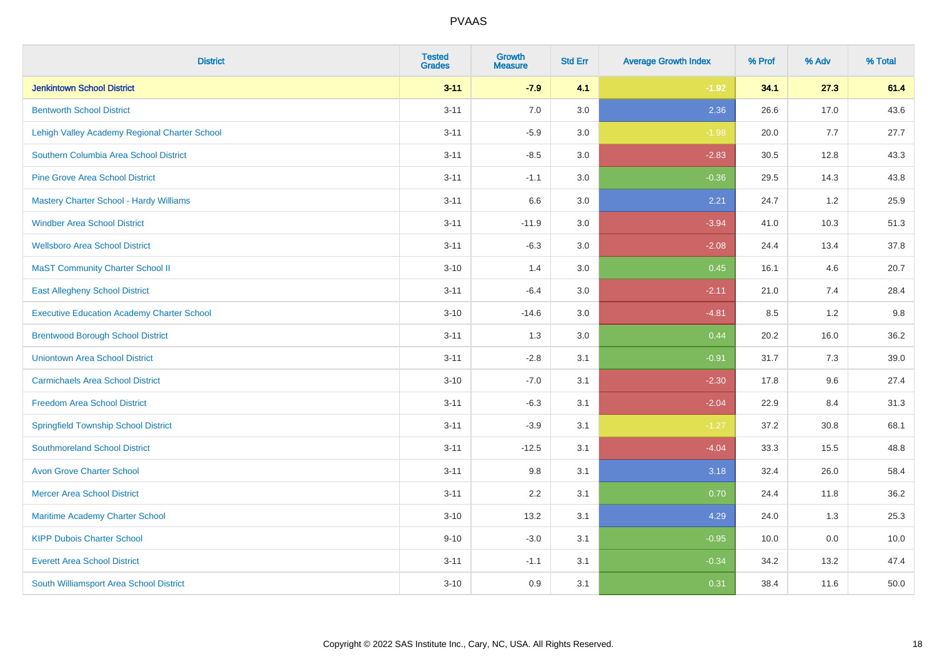| <b>District</b>                                   | <b>Tested</b><br><b>Grades</b> | <b>Growth</b><br><b>Measure</b> | <b>Std Err</b> | <b>Average Growth Index</b> | % Prof | % Adv | % Total |
|---------------------------------------------------|--------------------------------|---------------------------------|----------------|-----------------------------|--------|-------|---------|
| <b>Jenkintown School District</b>                 | $3 - 11$                       | $-7.9$                          | 4.1            | $-1.92$                     | 34.1   | 27.3  | 61.4    |
| <b>Bentworth School District</b>                  | $3 - 11$                       | 7.0                             | 3.0            | 2.36                        | 26.6   | 17.0  | 43.6    |
| Lehigh Valley Academy Regional Charter School     | $3 - 11$                       | $-5.9$                          | 3.0            | $-1.98$                     | 20.0   | 7.7   | 27.7    |
| Southern Columbia Area School District            | $3 - 11$                       | $-8.5$                          | 3.0            | $-2.83$                     | 30.5   | 12.8  | 43.3    |
| <b>Pine Grove Area School District</b>            | $3 - 11$                       | $-1.1$                          | 3.0            | $-0.36$                     | 29.5   | 14.3  | 43.8    |
| Mastery Charter School - Hardy Williams           | $3 - 11$                       | 6.6                             | 3.0            | 2.21                        | 24.7   | 1.2   | 25.9    |
| <b>Windber Area School District</b>               | $3 - 11$                       | $-11.9$                         | 3.0            | $-3.94$                     | 41.0   | 10.3  | 51.3    |
| <b>Wellsboro Area School District</b>             | $3 - 11$                       | $-6.3$                          | 3.0            | $-2.08$                     | 24.4   | 13.4  | 37.8    |
| <b>MaST Community Charter School II</b>           | $3 - 10$                       | 1.4                             | 3.0            | 0.45                        | 16.1   | 4.6   | 20.7    |
| <b>East Allegheny School District</b>             | $3 - 11$                       | $-6.4$                          | 3.0            | $-2.11$                     | 21.0   | 7.4   | 28.4    |
| <b>Executive Education Academy Charter School</b> | $3 - 10$                       | $-14.6$                         | 3.0            | $-4.81$                     | 8.5    | 1.2   | 9.8     |
| <b>Brentwood Borough School District</b>          | $3 - 11$                       | 1.3                             | 3.0            | 0.44                        | 20.2   | 16.0  | 36.2    |
| <b>Uniontown Area School District</b>             | $3 - 11$                       | $-2.8$                          | 3.1            | $-0.91$                     | 31.7   | 7.3   | 39.0    |
| <b>Carmichaels Area School District</b>           | $3 - 10$                       | $-7.0$                          | 3.1            | $-2.30$                     | 17.8   | 9.6   | 27.4    |
| <b>Freedom Area School District</b>               | $3 - 11$                       | $-6.3$                          | 3.1            | $-2.04$                     | 22.9   | 8.4   | 31.3    |
| <b>Springfield Township School District</b>       | $3 - 11$                       | $-3.9$                          | 3.1            | $-1.27$                     | 37.2   | 30.8  | 68.1    |
| <b>Southmoreland School District</b>              | $3 - 11$                       | $-12.5$                         | 3.1            | $-4.04$                     | 33.3   | 15.5  | 48.8    |
| <b>Avon Grove Charter School</b>                  | $3 - 11$                       | 9.8                             | 3.1            | 3.18                        | 32.4   | 26.0  | 58.4    |
| <b>Mercer Area School District</b>                | $3 - 11$                       | 2.2                             | 3.1            | 0.70                        | 24.4   | 11.8  | 36.2    |
| Maritime Academy Charter School                   | $3 - 10$                       | 13.2                            | 3.1            | 4.29                        | 24.0   | 1.3   | 25.3    |
| <b>KIPP Dubois Charter School</b>                 | $9 - 10$                       | $-3.0$                          | 3.1            | $-0.95$                     | 10.0   | 0.0   | 10.0    |
| <b>Everett Area School District</b>               | $3 - 11$                       | $-1.1$                          | 3.1            | $-0.34$                     | 34.2   | 13.2  | 47.4    |
| South Williamsport Area School District           | $3 - 10$                       | 0.9                             | 3.1            | 0.31                        | 38.4   | 11.6  | 50.0    |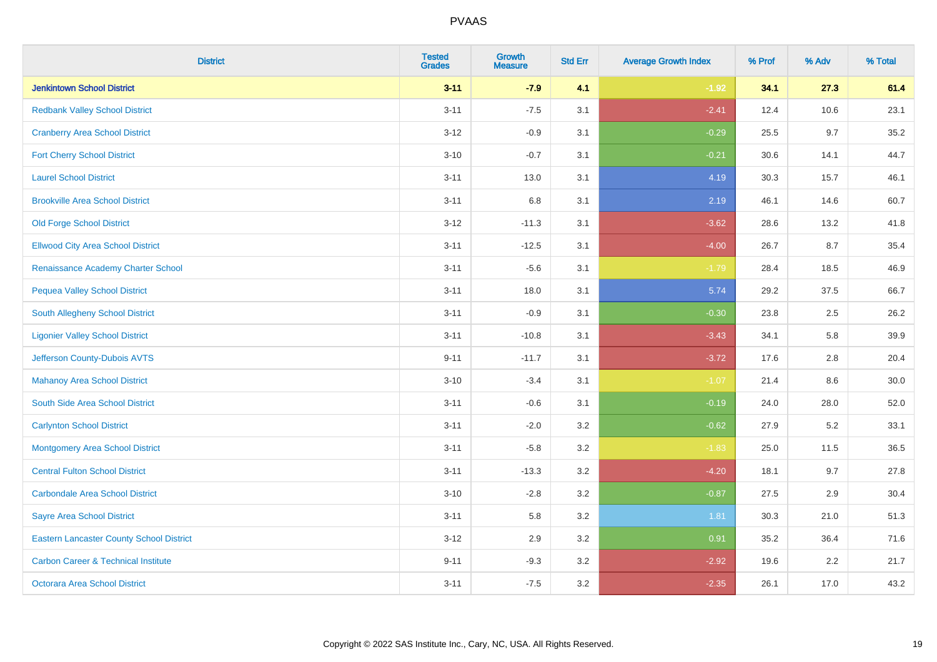| <b>District</b>                                 | <b>Tested</b><br><b>Grades</b> | <b>Growth</b><br><b>Measure</b> | <b>Std Err</b> | <b>Average Growth Index</b> | % Prof | % Adv | % Total |
|-------------------------------------------------|--------------------------------|---------------------------------|----------------|-----------------------------|--------|-------|---------|
| <b>Jenkintown School District</b>               | $3 - 11$                       | $-7.9$                          | 4.1            | $-1.92$                     | 34.1   | 27.3  | 61.4    |
| <b>Redbank Valley School District</b>           | $3 - 11$                       | $-7.5$                          | 3.1            | $-2.41$                     | 12.4   | 10.6  | 23.1    |
| <b>Cranberry Area School District</b>           | $3 - 12$                       | $-0.9$                          | 3.1            | $-0.29$                     | 25.5   | 9.7   | 35.2    |
| <b>Fort Cherry School District</b>              | $3 - 10$                       | $-0.7$                          | 3.1            | $-0.21$                     | 30.6   | 14.1  | 44.7    |
| <b>Laurel School District</b>                   | $3 - 11$                       | 13.0                            | 3.1            | 4.19                        | 30.3   | 15.7  | 46.1    |
| <b>Brookville Area School District</b>          | $3 - 11$                       | 6.8                             | 3.1            | 2.19                        | 46.1   | 14.6  | 60.7    |
| <b>Old Forge School District</b>                | $3-12$                         | $-11.3$                         | 3.1            | $-3.62$                     | 28.6   | 13.2  | 41.8    |
| <b>Ellwood City Area School District</b>        | $3 - 11$                       | $-12.5$                         | 3.1            | $-4.00$                     | 26.7   | 8.7   | 35.4    |
| Renaissance Academy Charter School              | $3 - 11$                       | $-5.6$                          | 3.1            | $-1.79$                     | 28.4   | 18.5  | 46.9    |
| <b>Pequea Valley School District</b>            | $3 - 11$                       | 18.0                            | 3.1            | 5.74                        | 29.2   | 37.5  | 66.7    |
| South Allegheny School District                 | $3 - 11$                       | $-0.9$                          | 3.1            | $-0.30$                     | 23.8   | 2.5   | 26.2    |
| <b>Ligonier Valley School District</b>          | $3 - 11$                       | $-10.8$                         | 3.1            | $-3.43$                     | 34.1   | 5.8   | 39.9    |
| Jefferson County-Dubois AVTS                    | $9 - 11$                       | $-11.7$                         | 3.1            | $-3.72$                     | 17.6   | 2.8   | 20.4    |
| <b>Mahanoy Area School District</b>             | $3 - 10$                       | $-3.4$                          | 3.1            | $-1.07$                     | 21.4   | 8.6   | 30.0    |
| South Side Area School District                 | $3 - 11$                       | $-0.6$                          | 3.1            | $-0.19$                     | 24.0   | 28.0  | 52.0    |
| <b>Carlynton School District</b>                | $3 - 11$                       | $-2.0$                          | 3.2            | $-0.62$                     | 27.9   | 5.2   | 33.1    |
| <b>Montgomery Area School District</b>          | $3 - 11$                       | $-5.8$                          | 3.2            | $-1.83$                     | 25.0   | 11.5  | 36.5    |
| <b>Central Fulton School District</b>           | $3 - 11$                       | $-13.3$                         | 3.2            | $-4.20$                     | 18.1   | 9.7   | 27.8    |
| <b>Carbondale Area School District</b>          | $3 - 10$                       | $-2.8$                          | 3.2            | $-0.87$                     | 27.5   | 2.9   | 30.4    |
| <b>Sayre Area School District</b>               | $3 - 11$                       | 5.8                             | 3.2            | 1.81                        | 30.3   | 21.0  | 51.3    |
| <b>Eastern Lancaster County School District</b> | $3 - 12$                       | 2.9                             | 3.2            | 0.91                        | 35.2   | 36.4  | 71.6    |
| <b>Carbon Career &amp; Technical Institute</b>  | $9 - 11$                       | $-9.3$                          | 3.2            | $-2.92$                     | 19.6   | 2.2   | 21.7    |
| <b>Octorara Area School District</b>            | $3 - 11$                       | $-7.5$                          | 3.2            | $-2.35$                     | 26.1   | 17.0  | 43.2    |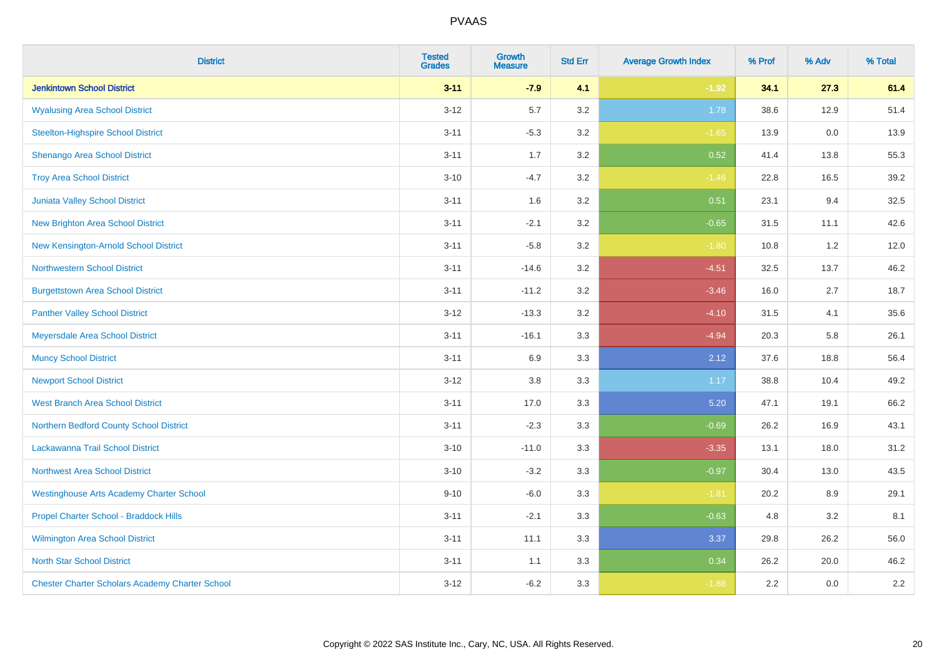| <b>District</b>                                        | <b>Tested</b><br><b>Grades</b> | <b>Growth</b><br><b>Measure</b> | <b>Std Err</b> | <b>Average Growth Index</b> | % Prof | % Adv | % Total |
|--------------------------------------------------------|--------------------------------|---------------------------------|----------------|-----------------------------|--------|-------|---------|
| <b>Jenkintown School District</b>                      | $3 - 11$                       | $-7.9$                          | 4.1            | $-1.92$                     | 34.1   | 27.3  | 61.4    |
| <b>Wyalusing Area School District</b>                  | $3 - 12$                       | 5.7                             | 3.2            | 1.78                        | 38.6   | 12.9  | 51.4    |
| <b>Steelton-Highspire School District</b>              | $3 - 11$                       | $-5.3$                          | 3.2            | $-1.65$                     | 13.9   | 0.0   | 13.9    |
| <b>Shenango Area School District</b>                   | $3 - 11$                       | 1.7                             | 3.2            | 0.52                        | 41.4   | 13.8  | 55.3    |
| <b>Troy Area School District</b>                       | $3 - 10$                       | $-4.7$                          | 3.2            | $-1.46$                     | 22.8   | 16.5  | 39.2    |
| Juniata Valley School District                         | $3 - 11$                       | 1.6                             | 3.2            | 0.51                        | 23.1   | 9.4   | 32.5    |
| <b>New Brighton Area School District</b>               | $3 - 11$                       | $-2.1$                          | 3.2            | $-0.65$                     | 31.5   | 11.1  | 42.6    |
| New Kensington-Arnold School District                  | $3 - 11$                       | $-5.8$                          | 3.2            | $-1.80$                     | 10.8   | 1.2   | 12.0    |
| <b>Northwestern School District</b>                    | $3 - 11$                       | $-14.6$                         | 3.2            | $-4.51$                     | 32.5   | 13.7  | 46.2    |
| <b>Burgettstown Area School District</b>               | $3 - 11$                       | $-11.2$                         | 3.2            | $-3.46$                     | 16.0   | 2.7   | 18.7    |
| <b>Panther Valley School District</b>                  | $3 - 12$                       | $-13.3$                         | 3.2            | $-4.10$                     | 31.5   | 4.1   | 35.6    |
| Meyersdale Area School District                        | $3 - 11$                       | $-16.1$                         | 3.3            | $-4.94$                     | 20.3   | 5.8   | 26.1    |
| <b>Muncy School District</b>                           | $3 - 11$                       | 6.9                             | 3.3            | 2.12                        | 37.6   | 18.8  | 56.4    |
| <b>Newport School District</b>                         | $3 - 12$                       | 3.8                             | 3.3            | 1.17                        | 38.8   | 10.4  | 49.2    |
| <b>West Branch Area School District</b>                | $3 - 11$                       | 17.0                            | 3.3            | 5.20                        | 47.1   | 19.1  | 66.2    |
| Northern Bedford County School District                | $3 - 11$                       | $-2.3$                          | 3.3            | $-0.69$                     | 26.2   | 16.9  | 43.1    |
| Lackawanna Trail School District                       | $3 - 10$                       | $-11.0$                         | 3.3            | $-3.35$                     | 13.1   | 18.0  | 31.2    |
| Northwest Area School District                         | $3 - 10$                       | $-3.2$                          | 3.3            | $-0.97$                     | 30.4   | 13.0  | 43.5    |
| <b>Westinghouse Arts Academy Charter School</b>        | $9 - 10$                       | $-6.0$                          | 3.3            | $-1.81$                     | 20.2   | 8.9   | 29.1    |
| Propel Charter School - Braddock Hills                 | $3 - 11$                       | $-2.1$                          | 3.3            | $-0.63$                     | 4.8    | 3.2   | 8.1     |
| Wilmington Area School District                        | $3 - 11$                       | 11.1                            | 3.3            | 3.37                        | 29.8   | 26.2  | 56.0    |
| <b>North Star School District</b>                      | $3 - 11$                       | 1.1                             | 3.3            | 0.34                        | 26.2   | 20.0  | 46.2    |
| <b>Chester Charter Scholars Academy Charter School</b> | $3 - 12$                       | $-6.2$                          | 3.3            | $-1.88$                     | 2.2    | 0.0   | 2.2     |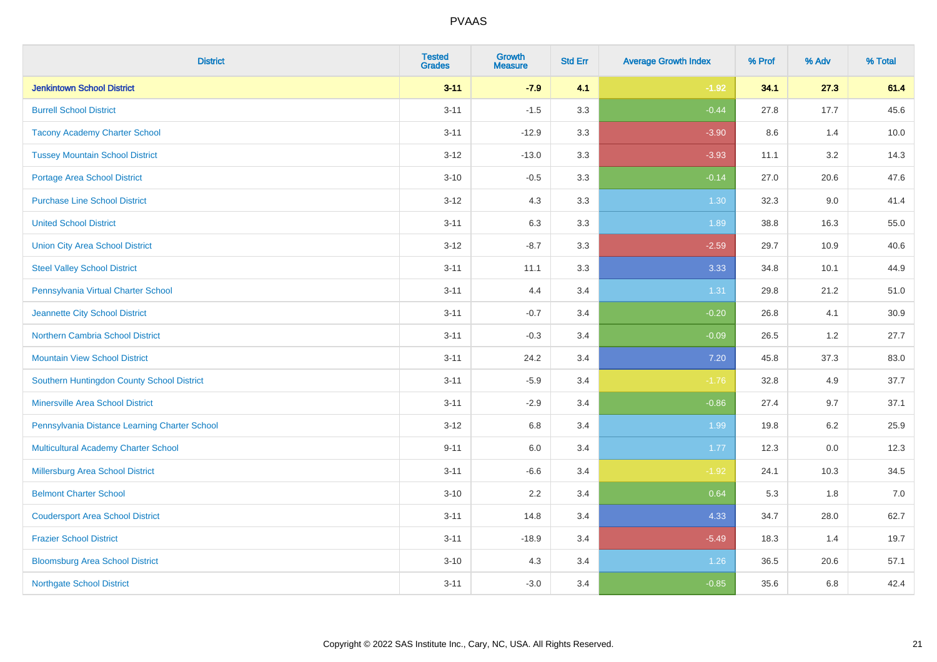| <b>District</b>                               | <b>Tested</b><br><b>Grades</b> | Growth<br><b>Measure</b> | <b>Std Err</b> | <b>Average Growth Index</b> | % Prof | % Adv   | % Total |
|-----------------------------------------------|--------------------------------|--------------------------|----------------|-----------------------------|--------|---------|---------|
| <b>Jenkintown School District</b>             | $3 - 11$                       | $-7.9$                   | 4.1            | $-1.92$                     | 34.1   | 27.3    | 61.4    |
| <b>Burrell School District</b>                | $3 - 11$                       | $-1.5$                   | 3.3            | $-0.44$                     | 27.8   | 17.7    | 45.6    |
| <b>Tacony Academy Charter School</b>          | $3 - 11$                       | $-12.9$                  | 3.3            | $-3.90$                     | 8.6    | 1.4     | 10.0    |
| <b>Tussey Mountain School District</b>        | $3 - 12$                       | $-13.0$                  | 3.3            | $-3.93$                     | 11.1   | 3.2     | 14.3    |
| <b>Portage Area School District</b>           | $3 - 10$                       | $-0.5$                   | 3.3            | $-0.14$                     | 27.0   | 20.6    | 47.6    |
| <b>Purchase Line School District</b>          | $3 - 12$                       | 4.3                      | 3.3            | 1.30                        | 32.3   | 9.0     | 41.4    |
| <b>United School District</b>                 | $3 - 11$                       | 6.3                      | 3.3            | 1.89                        | 38.8   | 16.3    | 55.0    |
| <b>Union City Area School District</b>        | $3 - 12$                       | $-8.7$                   | 3.3            | $-2.59$                     | 29.7   | 10.9    | 40.6    |
| <b>Steel Valley School District</b>           | $3 - 11$                       | 11.1                     | 3.3            | 3.33                        | 34.8   | 10.1    | 44.9    |
| Pennsylvania Virtual Charter School           | $3 - 11$                       | 4.4                      | 3.4            | 1.31                        | 29.8   | 21.2    | 51.0    |
| Jeannette City School District                | $3 - 11$                       | $-0.7$                   | 3.4            | $-0.20$                     | 26.8   | 4.1     | 30.9    |
| <b>Northern Cambria School District</b>       | $3 - 11$                       | $-0.3$                   | 3.4            | $-0.09$                     | 26.5   | 1.2     | 27.7    |
| <b>Mountain View School District</b>          | $3 - 11$                       | 24.2                     | 3.4            | $7.20$                      | 45.8   | 37.3    | 83.0    |
| Southern Huntingdon County School District    | $3 - 11$                       | $-5.9$                   | 3.4            | $-1.76$                     | 32.8   | 4.9     | 37.7    |
| <b>Minersville Area School District</b>       | $3 - 11$                       | $-2.9$                   | 3.4            | $-0.86$                     | 27.4   | 9.7     | 37.1    |
| Pennsylvania Distance Learning Charter School | $3 - 12$                       | 6.8                      | 3.4            | 1.99                        | 19.8   | $6.2\,$ | 25.9    |
| <b>Multicultural Academy Charter School</b>   | $9 - 11$                       | 6.0                      | 3.4            | 1.77                        | 12.3   | 0.0     | 12.3    |
| Millersburg Area School District              | $3 - 11$                       | $-6.6$                   | 3.4            | $-1.92$                     | 24.1   | 10.3    | 34.5    |
| <b>Belmont Charter School</b>                 | $3 - 10$                       | 2.2                      | 3.4            | 0.64                        | 5.3    | 1.8     | $7.0$   |
| <b>Coudersport Area School District</b>       | $3 - 11$                       | 14.8                     | 3.4            | 4.33                        | 34.7   | 28.0    | 62.7    |
| <b>Frazier School District</b>                | $3 - 11$                       | $-18.9$                  | 3.4            | $-5.49$                     | 18.3   | 1.4     | 19.7    |
| <b>Bloomsburg Area School District</b>        | $3 - 10$                       | 4.3                      | 3.4            | 1.26                        | 36.5   | 20.6    | 57.1    |
| <b>Northgate School District</b>              | $3 - 11$                       | $-3.0$                   | 3.4            | $-0.85$                     | 35.6   | 6.8     | 42.4    |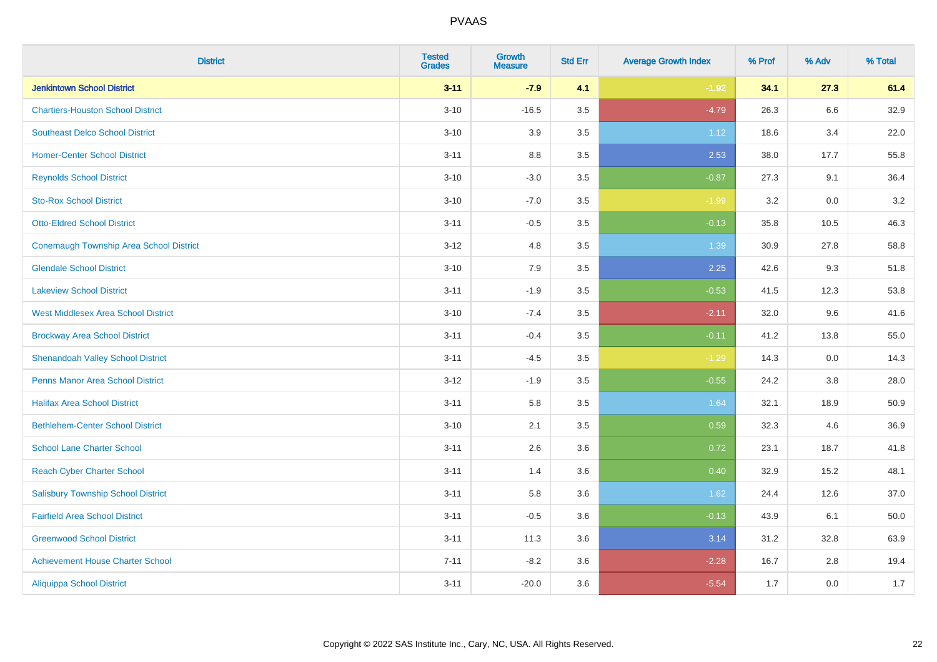| <b>District</b>                            | <b>Tested</b><br><b>Grades</b> | <b>Growth</b><br><b>Measure</b> | <b>Std Err</b> | <b>Average Growth Index</b> | % Prof | % Adv | % Total |
|--------------------------------------------|--------------------------------|---------------------------------|----------------|-----------------------------|--------|-------|---------|
| <b>Jenkintown School District</b>          | $3 - 11$                       | $-7.9$                          | 4.1            | $-1.92$                     | 34.1   | 27.3  | 61.4    |
| <b>Chartiers-Houston School District</b>   | $3 - 10$                       | $-16.5$                         | 3.5            | $-4.79$                     | 26.3   | 6.6   | 32.9    |
| <b>Southeast Delco School District</b>     | $3 - 10$                       | 3.9                             | 3.5            | 1.12                        | 18.6   | 3.4   | 22.0    |
| <b>Homer-Center School District</b>        | $3 - 11$                       | $8.8\,$                         | 3.5            | 2.53                        | 38.0   | 17.7  | 55.8    |
| <b>Reynolds School District</b>            | $3 - 10$                       | $-3.0$                          | 3.5            | $-0.87$                     | 27.3   | 9.1   | 36.4    |
| <b>Sto-Rox School District</b>             | $3 - 10$                       | $-7.0$                          | 3.5            | $-1.99$                     | 3.2    | 0.0   | $3.2\,$ |
| <b>Otto-Eldred School District</b>         | $3 - 11$                       | $-0.5$                          | 3.5            | $-0.13$                     | 35.8   | 10.5  | 46.3    |
| Conemaugh Township Area School District    | $3 - 12$                       | 4.8                             | 3.5            | 1.39                        | 30.9   | 27.8  | 58.8    |
| <b>Glendale School District</b>            | $3 - 10$                       | 7.9                             | 3.5            | 2.25                        | 42.6   | 9.3   | 51.8    |
| <b>Lakeview School District</b>            | $3 - 11$                       | $-1.9$                          | 3.5            | $-0.53$                     | 41.5   | 12.3  | 53.8    |
| <b>West Middlesex Area School District</b> | $3 - 10$                       | $-7.4$                          | 3.5            | $-2.11$                     | 32.0   | 9.6   | 41.6    |
| <b>Brockway Area School District</b>       | $3 - 11$                       | $-0.4$                          | 3.5            | $-0.11$                     | 41.2   | 13.8  | 55.0    |
| <b>Shenandoah Valley School District</b>   | $3 - 11$                       | $-4.5$                          | 3.5            | $-1.29$                     | 14.3   | 0.0   | 14.3    |
| <b>Penns Manor Area School District</b>    | $3-12$                         | $-1.9$                          | 3.5            | $-0.55$                     | 24.2   | 3.8   | 28.0    |
| <b>Halifax Area School District</b>        | $3 - 11$                       | 5.8                             | 3.5            | 1.64                        | 32.1   | 18.9  | 50.9    |
| <b>Bethlehem-Center School District</b>    | $3 - 10$                       | 2.1                             | 3.5            | 0.59                        | 32.3   | 4.6   | 36.9    |
| <b>School Lane Charter School</b>          | $3 - 11$                       | 2.6                             | 3.6            | 0.72                        | 23.1   | 18.7  | 41.8    |
| <b>Reach Cyber Charter School</b>          | $3 - 11$                       | 1.4                             | 3.6            | 0.40                        | 32.9   | 15.2  | 48.1    |
| <b>Salisbury Township School District</b>  | $3 - 11$                       | 5.8                             | 3.6            | 1.62                        | 24.4   | 12.6  | 37.0    |
| <b>Fairfield Area School District</b>      | $3 - 11$                       | $-0.5$                          | 3.6            | $-0.13$                     | 43.9   | 6.1   | 50.0    |
| <b>Greenwood School District</b>           | $3 - 11$                       | 11.3                            | 3.6            | 3.14                        | 31.2   | 32.8  | 63.9    |
| <b>Achievement House Charter School</b>    | $7 - 11$                       | $-8.2$                          | 3.6            | $-2.28$                     | 16.7   | 2.8   | 19.4    |
| <b>Aliquippa School District</b>           | $3 - 11$                       | $-20.0$                         | 3.6            | $-5.54$                     | 1.7    | 0.0   | 1.7     |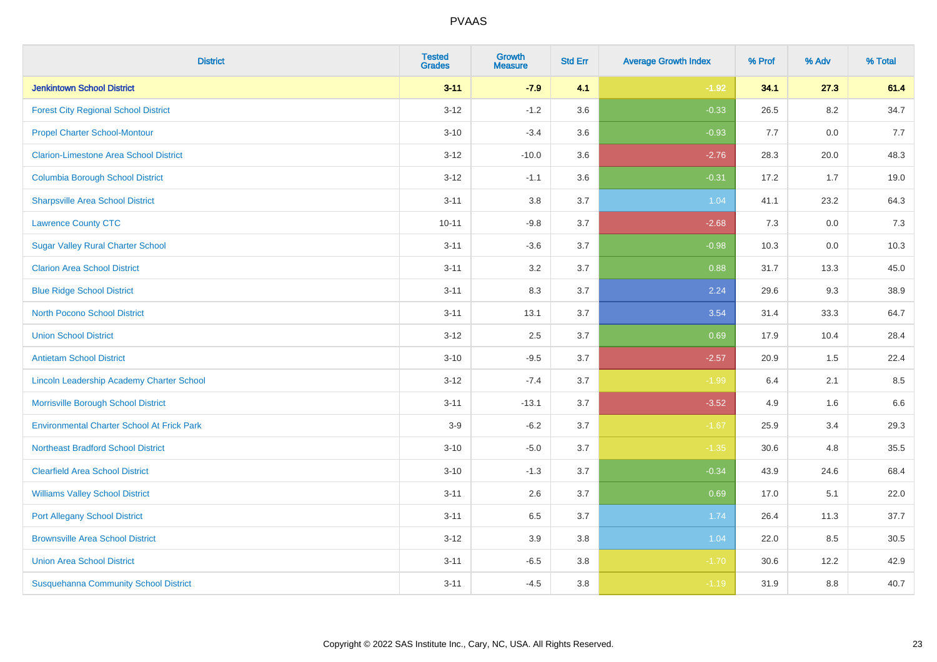| <b>District</b>                                   | <b>Tested</b><br><b>Grades</b> | <b>Growth</b><br><b>Measure</b> | <b>Std Err</b> | <b>Average Growth Index</b> | % Prof | % Adv   | % Total |
|---------------------------------------------------|--------------------------------|---------------------------------|----------------|-----------------------------|--------|---------|---------|
| <b>Jenkintown School District</b>                 | $3 - 11$                       | $-7.9$                          | 4.1            | $-1.92$                     | 34.1   | 27.3    | 61.4    |
| <b>Forest City Regional School District</b>       | $3 - 12$                       | $-1.2$                          | 3.6            | $-0.33$                     | 26.5   | $8.2\,$ | 34.7    |
| <b>Propel Charter School-Montour</b>              | $3 - 10$                       | $-3.4$                          | 3.6            | $-0.93$                     | 7.7    | 0.0     | 7.7     |
| <b>Clarion-Limestone Area School District</b>     | $3 - 12$                       | $-10.0$                         | 3.6            | $-2.76$                     | 28.3   | 20.0    | 48.3    |
| <b>Columbia Borough School District</b>           | $3 - 12$                       | $-1.1$                          | 3.6            | $-0.31$                     | 17.2   | 1.7     | 19.0    |
| <b>Sharpsville Area School District</b>           | $3 - 11$                       | 3.8                             | 3.7            | 1.04                        | 41.1   | 23.2    | 64.3    |
| <b>Lawrence County CTC</b>                        | $10 - 11$                      | $-9.8$                          | 3.7            | $-2.68$                     | 7.3    | 0.0     | 7.3     |
| <b>Sugar Valley Rural Charter School</b>          | $3 - 11$                       | $-3.6$                          | 3.7            | $-0.98$                     | 10.3   | 0.0     | 10.3    |
| <b>Clarion Area School District</b>               | $3 - 11$                       | 3.2                             | 3.7            | 0.88                        | 31.7   | 13.3    | 45.0    |
| <b>Blue Ridge School District</b>                 | $3 - 11$                       | 8.3                             | 3.7            | 2.24                        | 29.6   | 9.3     | 38.9    |
| <b>North Pocono School District</b>               | $3 - 11$                       | 13.1                            | 3.7            | 3.54                        | 31.4   | 33.3    | 64.7    |
| <b>Union School District</b>                      | $3 - 12$                       | 2.5                             | 3.7            | 0.69                        | 17.9   | 10.4    | 28.4    |
| <b>Antietam School District</b>                   | $3 - 10$                       | $-9.5$                          | 3.7            | $-2.57$                     | 20.9   | $1.5\,$ | 22.4    |
| Lincoln Leadership Academy Charter School         | $3 - 12$                       | $-7.4$                          | 3.7            | $-1.99$                     | 6.4    | 2.1     | 8.5     |
| Morrisville Borough School District               | $3 - 11$                       | $-13.1$                         | 3.7            | $-3.52$                     | 4.9    | 1.6     | 6.6     |
| <b>Environmental Charter School At Frick Park</b> | $3-9$                          | $-6.2$                          | 3.7            | $-1.67$                     | 25.9   | 3.4     | 29.3    |
| <b>Northeast Bradford School District</b>         | $3 - 10$                       | $-5.0$                          | 3.7            | $-1.35$                     | 30.6   | 4.8     | 35.5    |
| <b>Clearfield Area School District</b>            | $3 - 10$                       | $-1.3$                          | 3.7            | $-0.34$                     | 43.9   | 24.6    | 68.4    |
| <b>Williams Valley School District</b>            | $3 - 11$                       | 2.6                             | 3.7            | 0.69                        | 17.0   | 5.1     | 22.0    |
| <b>Port Allegany School District</b>              | $3 - 11$                       | 6.5                             | 3.7            | 1.74                        | 26.4   | 11.3    | 37.7    |
| <b>Brownsville Area School District</b>           | $3 - 12$                       | 3.9                             | 3.8            | 1.04                        | 22.0   | 8.5     | 30.5    |
| <b>Union Area School District</b>                 | $3 - 11$                       | $-6.5$                          | 3.8            | $-1.70$                     | 30.6   | 12.2    | 42.9    |
| <b>Susquehanna Community School District</b>      | $3 - 11$                       | $-4.5$                          | 3.8            | $-1.19$                     | 31.9   | 8.8     | 40.7    |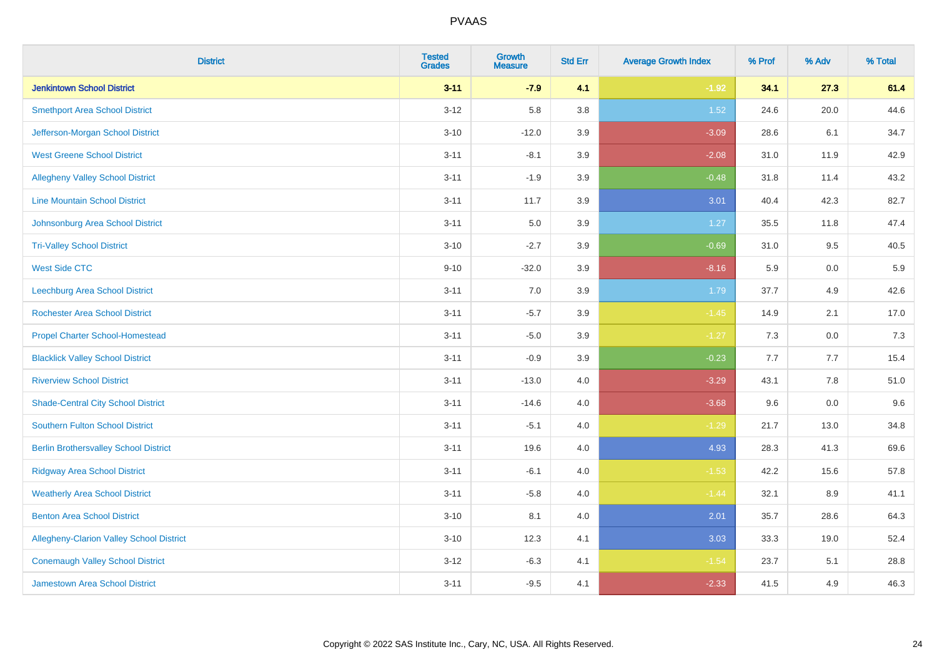| <b>District</b>                                 | <b>Tested</b><br><b>Grades</b> | <b>Growth</b><br><b>Measure</b> | <b>Std Err</b> | <b>Average Growth Index</b> | % Prof | % Adv | % Total |
|-------------------------------------------------|--------------------------------|---------------------------------|----------------|-----------------------------|--------|-------|---------|
| <b>Jenkintown School District</b>               | $3 - 11$                       | $-7.9$                          | 4.1            | $-1.92$                     | 34.1   | 27.3  | 61.4    |
| <b>Smethport Area School District</b>           | $3 - 12$                       | 5.8                             | 3.8            | 1.52                        | 24.6   | 20.0  | 44.6    |
| Jefferson-Morgan School District                | $3 - 10$                       | $-12.0$                         | 3.9            | $-3.09$                     | 28.6   | 6.1   | 34.7    |
| <b>West Greene School District</b>              | $3 - 11$                       | $-8.1$                          | 3.9            | $-2.08$                     | 31.0   | 11.9  | 42.9    |
| <b>Allegheny Valley School District</b>         | $3 - 11$                       | $-1.9$                          | 3.9            | $-0.48$                     | 31.8   | 11.4  | 43.2    |
| <b>Line Mountain School District</b>            | $3 - 11$                       | 11.7                            | 3.9            | 3.01                        | 40.4   | 42.3  | 82.7    |
| Johnsonburg Area School District                | $3 - 11$                       | 5.0                             | 3.9            | 1.27                        | 35.5   | 11.8  | 47.4    |
| <b>Tri-Valley School District</b>               | $3 - 10$                       | $-2.7$                          | 3.9            | $-0.69$                     | 31.0   | 9.5   | 40.5    |
| <b>West Side CTC</b>                            | $9 - 10$                       | $-32.0$                         | 3.9            | $-8.16$                     | 5.9    | 0.0   | 5.9     |
| <b>Leechburg Area School District</b>           | $3 - 11$                       | 7.0                             | 3.9            | 1.79                        | 37.7   | 4.9   | 42.6    |
| <b>Rochester Area School District</b>           | $3 - 11$                       | $-5.7$                          | 3.9            | $-1.45$                     | 14.9   | 2.1   | 17.0    |
| <b>Propel Charter School-Homestead</b>          | $3 - 11$                       | $-5.0$                          | 3.9            | $-1.27$                     | 7.3    | 0.0   | 7.3     |
| <b>Blacklick Valley School District</b>         | $3 - 11$                       | $-0.9$                          | 3.9            | $-0.23$                     | 7.7    | 7.7   | 15.4    |
| <b>Riverview School District</b>                | $3 - 11$                       | $-13.0$                         | 4.0            | $-3.29$                     | 43.1   | 7.8   | 51.0    |
| <b>Shade-Central City School District</b>       | $3 - 11$                       | $-14.6$                         | 4.0            | $-3.68$                     | 9.6    | 0.0   | 9.6     |
| <b>Southern Fulton School District</b>          | $3 - 11$                       | $-5.1$                          | 4.0            | $-1.29$                     | 21.7   | 13.0  | 34.8    |
| <b>Berlin Brothersvalley School District</b>    | $3 - 11$                       | 19.6                            | 4.0            | 4.93                        | 28.3   | 41.3  | 69.6    |
| <b>Ridgway Area School District</b>             | $3 - 11$                       | $-6.1$                          | 4.0            | $-1.53$                     | 42.2   | 15.6  | 57.8    |
| <b>Weatherly Area School District</b>           | $3 - 11$                       | $-5.8$                          | 4.0            | $-1.44$                     | 32.1   | 8.9   | 41.1    |
| <b>Benton Area School District</b>              | $3 - 10$                       | 8.1                             | 4.0            | 2.01                        | 35.7   | 28.6  | 64.3    |
| <b>Allegheny-Clarion Valley School District</b> | $3 - 10$                       | 12.3                            | 4.1            | 3.03                        | 33.3   | 19.0  | 52.4    |
| <b>Conemaugh Valley School District</b>         | $3 - 12$                       | $-6.3$                          | 4.1            | $-1.54$                     | 23.7   | 5.1   | 28.8    |
| Jamestown Area School District                  | $3 - 11$                       | $-9.5$                          | 4.1            | $-2.33$                     | 41.5   | 4.9   | 46.3    |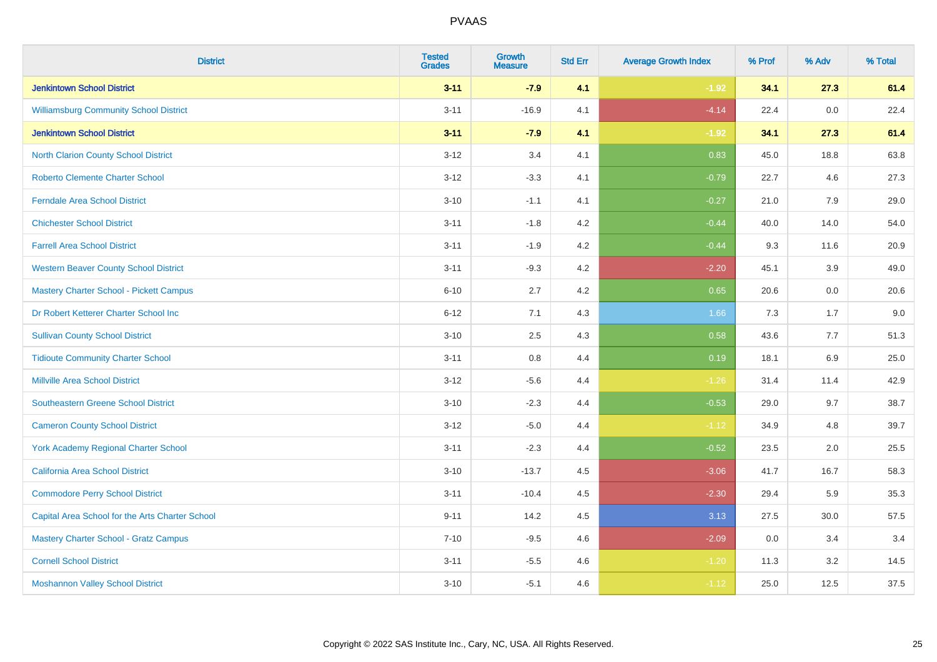| <b>District</b>                                 | <b>Tested</b><br><b>Grades</b> | <b>Growth</b><br><b>Measure</b> | <b>Std Err</b> | <b>Average Growth Index</b> | % Prof | % Adv | % Total |
|-------------------------------------------------|--------------------------------|---------------------------------|----------------|-----------------------------|--------|-------|---------|
| <b>Jenkintown School District</b>               | $3 - 11$                       | $-7.9$                          | 4.1            | $-1.92$                     | 34.1   | 27.3  | 61.4    |
| <b>Williamsburg Community School District</b>   | $3 - 11$                       | $-16.9$                         | 4.1            | $-4.14$                     | 22.4   | 0.0   | 22.4    |
| <b>Jenkintown School District</b>               | $3 - 11$                       | $-7.9$                          | 4.1            | $-1.92$                     | 34.1   | 27.3  | 61.4    |
| North Clarion County School District            | $3 - 12$                       | 3.4                             | 4.1            | 0.83                        | 45.0   | 18.8  | 63.8    |
| <b>Roberto Clemente Charter School</b>          | $3-12$                         | $-3.3$                          | 4.1            | $-0.79$                     | 22.7   | 4.6   | 27.3    |
| <b>Ferndale Area School District</b>            | $3 - 10$                       | $-1.1$                          | 4.1            | $-0.27$                     | 21.0   | 7.9   | 29.0    |
| <b>Chichester School District</b>               | $3 - 11$                       | $-1.8$                          | 4.2            | $-0.44$                     | 40.0   | 14.0  | 54.0    |
| <b>Farrell Area School District</b>             | $3 - 11$                       | $-1.9$                          | 4.2            | $-0.44$                     | 9.3    | 11.6  | 20.9    |
| <b>Western Beaver County School District</b>    | $3 - 11$                       | $-9.3$                          | 4.2            | $-2.20$                     | 45.1   | 3.9   | 49.0    |
| <b>Mastery Charter School - Pickett Campus</b>  | $6 - 10$                       | 2.7                             | 4.2            | 0.65                        | 20.6   | 0.0   | 20.6    |
| Dr Robert Ketterer Charter School Inc           | $6 - 12$                       | 7.1                             | 4.3            | 1.66                        | 7.3    | 1.7   | 9.0     |
| <b>Sullivan County School District</b>          | $3 - 10$                       | 2.5                             | 4.3            | 0.58                        | 43.6   | 7.7   | 51.3    |
| <b>Tidioute Community Charter School</b>        | $3 - 11$                       | 0.8                             | 4.4            | 0.19                        | 18.1   | 6.9   | 25.0    |
| <b>Millville Area School District</b>           | $3 - 12$                       | $-5.6$                          | 4.4            | $-1.26$                     | 31.4   | 11.4  | 42.9    |
| <b>Southeastern Greene School District</b>      | $3 - 10$                       | $-2.3$                          | 4.4            | $-0.53$                     | 29.0   | 9.7   | 38.7    |
| <b>Cameron County School District</b>           | $3 - 12$                       | $-5.0$                          | 4.4            | $-1.12$                     | 34.9   | 4.8   | 39.7    |
| <b>York Academy Regional Charter School</b>     | $3 - 11$                       | $-2.3$                          | 4.4            | $-0.52$                     | 23.5   | 2.0   | 25.5    |
| California Area School District                 | $3 - 10$                       | $-13.7$                         | 4.5            | $-3.06$                     | 41.7   | 16.7  | 58.3    |
| <b>Commodore Perry School District</b>          | $3 - 11$                       | $-10.4$                         | 4.5            | $-2.30$                     | 29.4   | 5.9   | 35.3    |
| Capital Area School for the Arts Charter School | $9 - 11$                       | 14.2                            | 4.5            | 3.13                        | 27.5   | 30.0  | 57.5    |
| <b>Mastery Charter School - Gratz Campus</b>    | $7 - 10$                       | $-9.5$                          | 4.6            | $-2.09$                     | 0.0    | 3.4   | 3.4     |
| <b>Cornell School District</b>                  | $3 - 11$                       | $-5.5$                          | 4.6            | $-1.20$                     | 11.3   | 3.2   | 14.5    |
| <b>Moshannon Valley School District</b>         | $3 - 10$                       | $-5.1$                          | 4.6            | $-1.12$                     | 25.0   | 12.5  | 37.5    |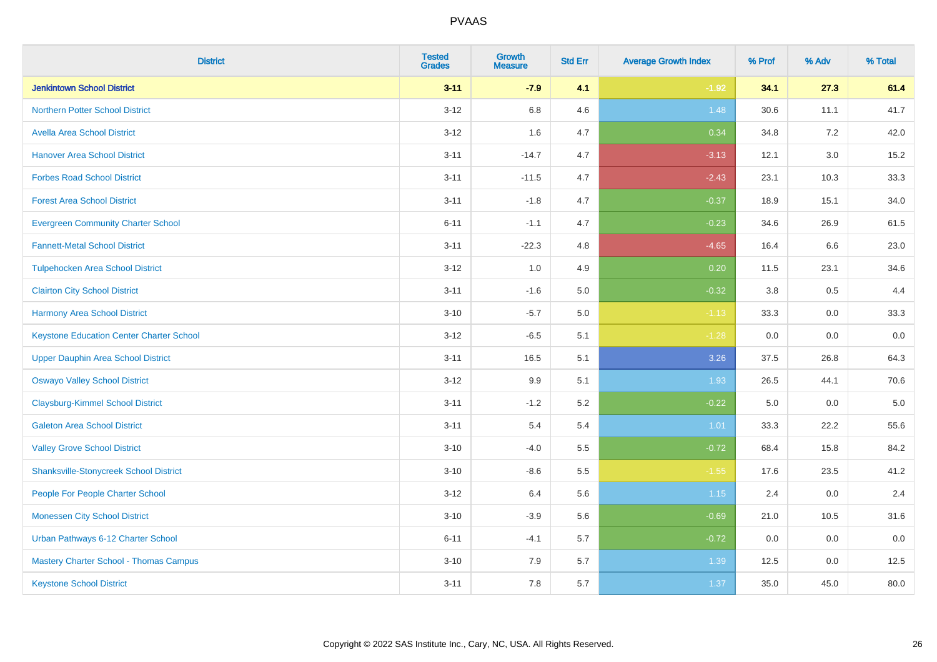| <b>District</b>                                 | <b>Tested</b><br><b>Grades</b> | <b>Growth</b><br><b>Measure</b> | <b>Std Err</b> | <b>Average Growth Index</b> | % Prof  | % Adv   | % Total |
|-------------------------------------------------|--------------------------------|---------------------------------|----------------|-----------------------------|---------|---------|---------|
| <b>Jenkintown School District</b>               | $3 - 11$                       | $-7.9$                          | 4.1            | $-1.92$                     | 34.1    | 27.3    | 61.4    |
| Northern Potter School District                 | $3 - 12$                       | 6.8                             | 4.6            | 1.48                        | 30.6    | 11.1    | 41.7    |
| <b>Avella Area School District</b>              | $3 - 12$                       | 1.6                             | 4.7            | 0.34                        | 34.8    | 7.2     | 42.0    |
| <b>Hanover Area School District</b>             | $3 - 11$                       | $-14.7$                         | 4.7            | $-3.13$                     | 12.1    | $3.0\,$ | 15.2    |
| <b>Forbes Road School District</b>              | $3 - 11$                       | $-11.5$                         | 4.7            | $-2.43$                     | 23.1    | 10.3    | 33.3    |
| <b>Forest Area School District</b>              | $3 - 11$                       | $-1.8$                          | 4.7            | $-0.37$                     | 18.9    | 15.1    | 34.0    |
| <b>Evergreen Community Charter School</b>       | $6 - 11$                       | $-1.1$                          | 4.7            | $-0.23$                     | 34.6    | 26.9    | 61.5    |
| <b>Fannett-Metal School District</b>            | $3 - 11$                       | $-22.3$                         | 4.8            | $-4.65$                     | 16.4    | 6.6     | 23.0    |
| <b>Tulpehocken Area School District</b>         | $3-12$                         | 1.0                             | 4.9            | 0.20                        | 11.5    | 23.1    | 34.6    |
| <b>Clairton City School District</b>            | $3 - 11$                       | $-1.6$                          | 5.0            | $-0.32$                     | 3.8     | 0.5     | 4.4     |
| <b>Harmony Area School District</b>             | $3 - 10$                       | $-5.7$                          | 5.0            | $-1.13$                     | 33.3    | $0.0\,$ | 33.3    |
| <b>Keystone Education Center Charter School</b> | $3 - 12$                       | $-6.5$                          | 5.1            | $-1.28$                     | 0.0     | 0.0     | 0.0     |
| <b>Upper Dauphin Area School District</b>       | $3 - 11$                       | 16.5                            | 5.1            | 3.26                        | 37.5    | 26.8    | 64.3    |
| <b>Oswayo Valley School District</b>            | $3 - 12$                       | 9.9                             | 5.1            | 1.93                        | 26.5    | 44.1    | 70.6    |
| <b>Claysburg-Kimmel School District</b>         | $3 - 11$                       | $-1.2$                          | 5.2            | $-0.22$                     | $5.0\,$ | 0.0     | 5.0     |
| <b>Galeton Area School District</b>             | $3 - 11$                       | 5.4                             | 5.4            | 1.01                        | 33.3    | 22.2    | 55.6    |
| <b>Valley Grove School District</b>             | $3 - 10$                       | $-4.0$                          | 5.5            | $-0.72$                     | 68.4    | 15.8    | 84.2    |
| <b>Shanksville-Stonycreek School District</b>   | $3 - 10$                       | $-8.6$                          | 5.5            | $-1.55$                     | 17.6    | 23.5    | 41.2    |
| People For People Charter School                | $3 - 12$                       | 6.4                             | 5.6            | 1.15                        | 2.4     | $0.0\,$ | 2.4     |
| <b>Monessen City School District</b>            | $3 - 10$                       | $-3.9$                          | 5.6            | $-0.69$                     | 21.0    | 10.5    | 31.6    |
| Urban Pathways 6-12 Charter School              | $6 - 11$                       | $-4.1$                          | 5.7            | $-0.72$                     | 0.0     | 0.0     | 0.0     |
| Mastery Charter School - Thomas Campus          | $3 - 10$                       | 7.9                             | 5.7            | 1.39                        | 12.5    | 0.0     | 12.5    |
| <b>Keystone School District</b>                 | $3 - 11$                       | 7.8                             | 5.7            | 1.37                        | 35.0    | 45.0    | 80.0    |